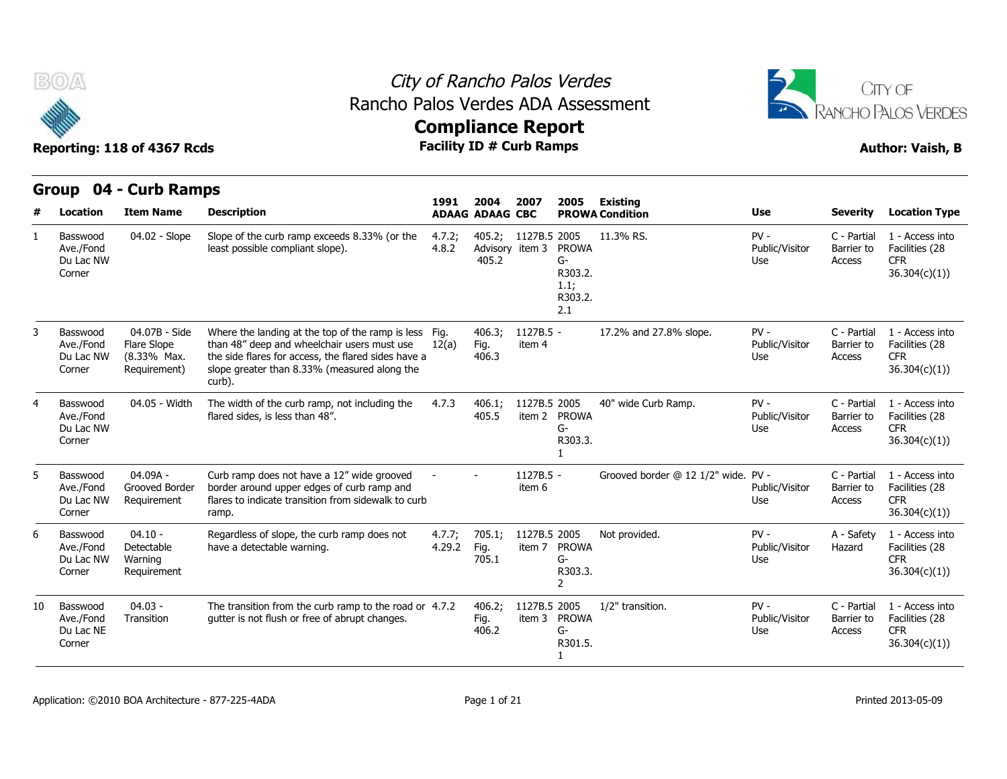



|    | Group                                        | 04 - Curb Ramps                                             |                                                                                                                                                                                                                       | 1991             | 2004                               | 2007                   | 2005                                                    | <b>Existing</b>                     |                                 |                                     |                                                                  |
|----|----------------------------------------------|-------------------------------------------------------------|-----------------------------------------------------------------------------------------------------------------------------------------------------------------------------------------------------------------------|------------------|------------------------------------|------------------------|---------------------------------------------------------|-------------------------------------|---------------------------------|-------------------------------------|------------------------------------------------------------------|
| #  | Location                                     | <b>Item Name</b>                                            | <b>Description</b>                                                                                                                                                                                                    |                  | <b>ADAAG ADAAG CBC</b>             |                        |                                                         | <b>PROWA Condition</b>              | <b>Use</b>                      | <b>Severity</b>                     | <b>Location Type</b>                                             |
|    | Basswood<br>Ave./Fond<br>Du Lac NW<br>Corner | 04.02 - Slope                                               | Slope of the curb ramp exceeds 8.33% (or the<br>least possible compliant slope).                                                                                                                                      | 4.7.2;<br>4.8.2  | 405.2;<br>Advisory item 3<br>405.2 | 1127B.5 2005           | <b>PROWA</b><br>G-<br>R303.2.<br>1.1;<br>R303.2.<br>2.1 | 11.3% RS.                           | $PV -$<br>Public/Visitor<br>Use | C - Partial<br>Barrier to<br>Access | 1 - Access into<br>Facilities (28<br><b>CFR</b><br>36.304(c)(1)  |
|    | Basswood<br>Ave./Fond<br>Du Lac NW<br>Corner | 04.07B - Side<br>Flare Slope<br>(8.33% Max.<br>Requirement) | Where the landing at the top of the ramp is less Fig.<br>than 48" deep and wheelchair users must use<br>the side flares for access, the flared sides have a<br>slope greater than 8.33% (measured along the<br>curb). | 12(a)            | 406.3:<br>Fig.<br>406.3            | 1127B.5 -<br>item 4    |                                                         | 17.2% and 27.8% slope.              | $PV -$<br>Public/Visitor<br>Use | C - Partial<br>Barrier to<br>Access | 1 - Access into<br>Facilities (28<br><b>CFR</b><br>36.304(c)(1)  |
|    | Basswood<br>Ave./Fond<br>Du Lac NW<br>Corner | 04.05 - Width                                               | The width of the curb ramp, not including the<br>flared sides, is less than 48".                                                                                                                                      | 4.7.3            | 406.1:<br>405.5                    | 1127B.5 2005           | item 2 PROWA<br>G-<br>R303.3.                           | 40" wide Curb Ramp.                 | $PV -$<br>Public/Visitor<br>Use | C - Partial<br>Barrier to<br>Access | 1 - Access into<br>Facilities (28<br><b>CFR</b><br>36.304(c)(1)  |
|    | Basswood<br>Ave./Fond<br>Du Lac NW<br>Corner | 04.09A -<br>Grooved Border<br>Requirement                   | Curb ramp does not have a 12" wide grooved<br>border around upper edges of curb ramp and<br>flares to indicate transition from sidewalk to curb<br>ramp.                                                              |                  |                                    | 1127B.5 -<br>item 6    |                                                         | Grooved border @ 12 1/2" wide. PV - | Public/Visitor<br>Use           | C - Partial<br>Barrier to<br>Access | 1 - Access into<br>Facilities (28<br><b>CFR</b><br>36.304(c)(1)) |
|    | Basswood<br>Ave./Fond<br>Du Lac NW<br>Corner | $04.10 -$<br>Detectable<br>Warning<br>Requirement           | Regardless of slope, the curb ramp does not<br>have a detectable warning.                                                                                                                                             | 4.7.7;<br>4.29.2 | 705.1;<br>Fig.<br>705.1            | 1127B.5 2005<br>item 7 | <b>PROWA</b><br>G-<br>R303.3.<br>$\overline{2}$         | Not provided.                       | $PV -$<br>Public/Visitor<br>Use | A - Safety<br>Hazard                | 1 - Access into<br>Facilities (28<br><b>CFR</b><br>36.304(c)(1)  |
| 10 | Basswood<br>Ave./Fond<br>Du Lac NE<br>Corner | $04.03 -$<br>Transition                                     | The transition from the curb ramp to the road or 4.7.2<br>qutter is not flush or free of abrupt changes.                                                                                                              |                  | 406.2;<br>Fig.<br>406.2            | 1127B.5 2005<br>item 3 | <b>PROWA</b><br>$G-$<br>R301.5.                         | 1/2" transition.                    | $PV -$<br>Public/Visitor<br>Use | C - Partial<br>Barrier to<br>Access | 1 - Access into<br>Facilities (28<br><b>CFR</b><br>36.304(c)(1)) |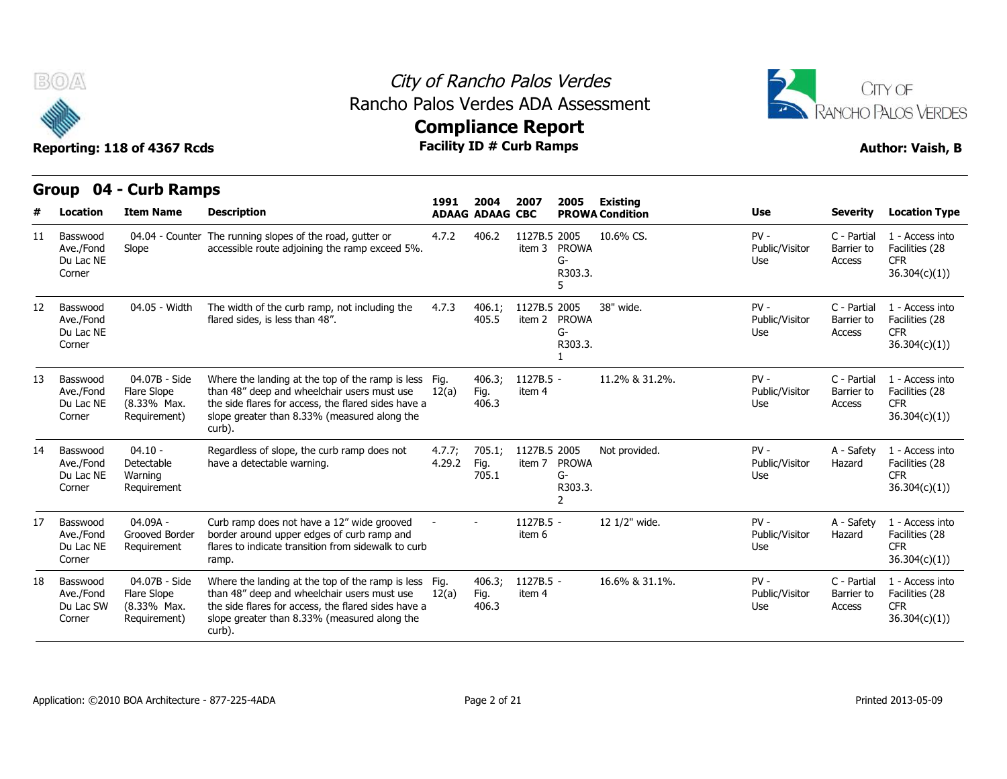



|    | Group                                        | 04 - Curb Ramps                                             |                                                                                                                                                                                                                       |                  |                                |                              |                                      |                                           |                                 |                                     |                                                                  |
|----|----------------------------------------------|-------------------------------------------------------------|-----------------------------------------------------------------------------------------------------------------------------------------------------------------------------------------------------------------------|------------------|--------------------------------|------------------------------|--------------------------------------|-------------------------------------------|---------------------------------|-------------------------------------|------------------------------------------------------------------|
|    | Location                                     | <b>Item Name</b>                                            | <b>Description</b>                                                                                                                                                                                                    | 1991             | 2004<br><b>ADAAG ADAAG CBC</b> | 2007                         | 2005                                 | <b>Existing</b><br><b>PROWA Condition</b> | <b>Use</b>                      | <b>Severity</b>                     | <b>Location Type</b>                                             |
| 11 | Basswood<br>Ave./Fond<br>Du Lac NE<br>Corner | 04.04 - Counter<br>Slope                                    | The running slopes of the road, gutter or<br>accessible route adjoining the ramp exceed 5%.                                                                                                                           | 4.7.2            | 406.2                          | 1127B.5 2005<br>item 3 PROWA | $G-$<br>R303.3.                      | 10.6% CS.                                 | $PV -$<br>Public/Visitor<br>Use | C - Partial<br>Barrier to<br>Access | 1 - Access into<br>Facilities (28<br><b>CFR</b><br>36.304(c)(1)  |
| 12 | Basswood<br>Ave./Fond<br>Du Lac NE<br>Corner | 04.05 - Width                                               | The width of the curb ramp, not including the<br>flared sides, is less than 48".                                                                                                                                      | 4.7.3            | 406.1;<br>405.5                | 1127B.5 2005<br>item 2       | <b>PROWA</b><br>$G-$<br>R303.3.      | 38" wide.                                 | $PV -$<br>Public/Visitor<br>Use | C - Partial<br>Barrier to<br>Access | 1 - Access into<br>Facilities (28<br><b>CFR</b><br>36.304(c)(1)  |
| 13 | Basswood<br>Ave./Fond<br>Du Lac NE<br>Corner | 04.07B - Side<br>Flare Slope<br>(8.33% Max.<br>Requirement) | Where the landing at the top of the ramp is less Fig.<br>than 48" deep and wheelchair users must use<br>the side flares for access, the flared sides have a<br>slope greater than 8.33% (measured along the<br>curb). | 12(a)            | 406.3;<br>Fig.<br>406.3        | $1127B.5 -$<br>item 4        |                                      | 11.2% & 31.2%.                            | $PV -$<br>Public/Visitor<br>Use | C - Partial<br>Barrier to<br>Access | 1 - Access into<br>Facilities (28<br><b>CFR</b><br>36.304(c)(1)  |
| 14 | Basswood<br>Ave./Fond<br>Du Lac NE<br>Corner | $04.10 -$<br>Detectable<br>Warning<br>Requirement           | Regardless of slope, the curb ramp does not<br>have a detectable warning.                                                                                                                                             | 4.7.7:<br>4.29.2 | 705.1;<br>Fig.<br>705.1        | 1127B.5 2005<br>item 7       | <b>PROWA</b><br>$G-$<br>R303.3.<br>2 | Not provided.                             | $PV -$<br>Public/Visitor<br>Use | A - Safety<br>Hazard                | 1 - Access into<br>Facilities (28<br><b>CFR</b><br>36.304(c)(1)) |
| 17 | Basswood<br>Ave./Fond<br>Du Lac NE<br>Corner | 04.09A -<br>Grooved Border<br>Requirement                   | Curb ramp does not have a 12" wide grooved<br>border around upper edges of curb ramp and<br>flares to indicate transition from sidewalk to curb<br>ramp.                                                              |                  |                                | 1127B.5 -<br>item 6          |                                      | 12 1/2" wide.                             | $PV -$<br>Public/Visitor<br>Use | A - Safety<br>Hazard                | 1 - Access into<br>Facilities (28<br><b>CFR</b><br>36.304(c)(1)  |
| 18 | Basswood<br>Ave./Fond<br>Du Lac SW<br>Corner | 04.07B - Side<br>Flare Slope<br>(8.33% Max.<br>Requirement) | Where the landing at the top of the ramp is less Fig.<br>than 48" deep and wheelchair users must use<br>the side flares for access, the flared sides have a<br>slope greater than 8.33% (measured along the<br>curb). | 12(a)            | 406.3;<br>Fig.<br>406.3        | 1127B.5 -<br>item 4          |                                      | 16.6% & 31.1%.                            | $PV -$<br>Public/Visitor<br>Use | C - Partial<br>Barrier to<br>Access | 1 - Access into<br>Facilities (28<br><b>CFR</b><br>36.304(c)(1)  |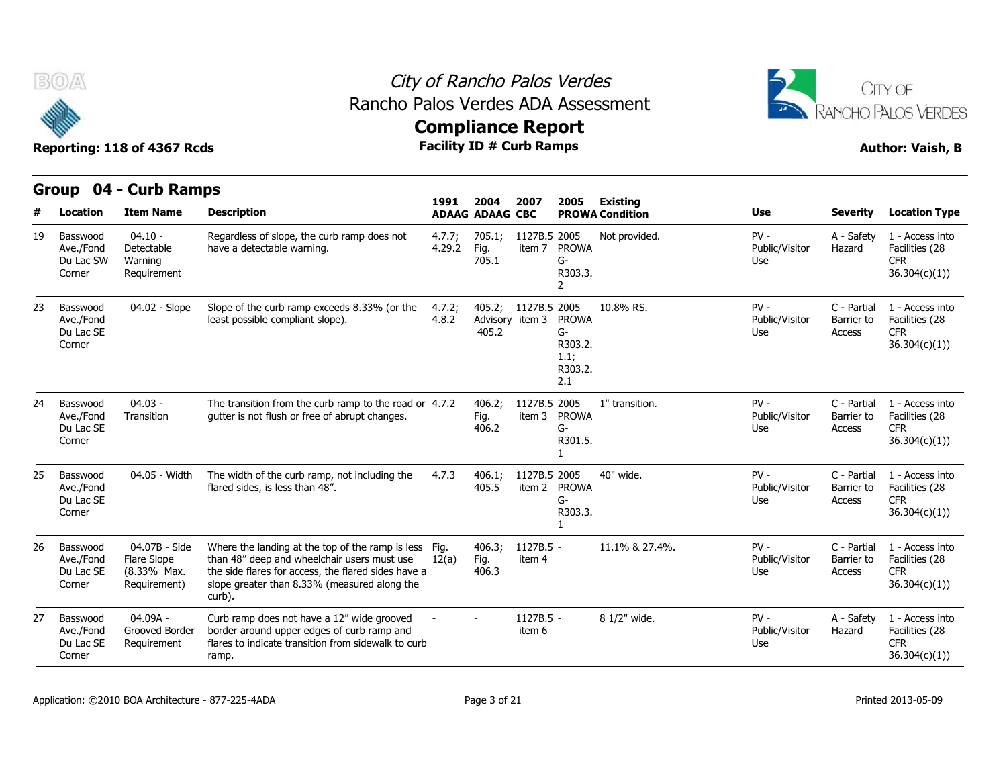



|    | Group                                        | 04 - Curb Ramps                                             |                                                                                                                                                                                                                       | 1991             | 2004                    | 2007                            | 2005                                                    | Existing               |                                 |                                     |                                                                  |
|----|----------------------------------------------|-------------------------------------------------------------|-----------------------------------------------------------------------------------------------------------------------------------------------------------------------------------------------------------------------|------------------|-------------------------|---------------------------------|---------------------------------------------------------|------------------------|---------------------------------|-------------------------------------|------------------------------------------------------------------|
| #  | Location                                     | <b>Item Name</b>                                            | <b>Description</b>                                                                                                                                                                                                    |                  | <b>ADAAG ADAAG CBC</b>  |                                 |                                                         | <b>PROWA Condition</b> | Use                             | <b>Severity</b>                     | <b>Location Type</b>                                             |
| 19 | Basswood<br>Ave./Fond<br>Du Lac SW<br>Corner | $04.10 -$<br>Detectable<br>Warning<br>Requirement           | Regardless of slope, the curb ramp does not<br>have a detectable warning.                                                                                                                                             | 4.7.7;<br>4.29.2 | 705.1;<br>Fig.<br>705.1 | 1127B.5 2005<br>item 7          | <b>PROWA</b><br>$G-$<br>R303.3.<br>2                    | Not provided.          | $PV -$<br>Public/Visitor<br>Use | A - Safety<br>Hazard                | 1 - Access into<br>Facilities (28<br><b>CFR</b><br>36.304(c)(1)  |
| 23 | Basswood<br>Ave./Fond<br>Du Lac SE<br>Corner | 04.02 - Slope                                               | Slope of the curb ramp exceeds 8.33% (or the<br>least possible compliant slope).                                                                                                                                      | 4.7.2;<br>4.8.2  | 405.2;<br>405.2         | 1127B.5 2005<br>Advisory item 3 | <b>PROWA</b><br>G-<br>R303.2.<br>1.1;<br>R303.2.<br>2.1 | 10.8% RS.              | $PV -$<br>Public/Visitor<br>Use | C - Partial<br>Barrier to<br>Access | 1 - Access into<br>Facilities (28<br><b>CFR</b><br>36.304(c)(1)) |
| 24 | Basswood<br>Ave./Fond<br>Du Lac SE<br>Corner | $04.03 -$<br>Transition                                     | The transition from the curb ramp to the road or 4.7.2<br>qutter is not flush or free of abrupt changes.                                                                                                              |                  | 406.2:<br>Fig.<br>406.2 | 1127B.5 2005<br>item 3          | <b>PROWA</b><br>G-<br>R301.5.                           | 1" transition.         | $PV -$<br>Public/Visitor<br>Use | C - Partial<br>Barrier to<br>Access | 1 - Access into<br>Facilities (28<br><b>CFR</b><br>36.304(c)(1)  |
| 25 | Basswood<br>Ave./Fond<br>Du Lac SE<br>Corner | 04.05 - Width                                               | The width of the curb ramp, not including the<br>flared sides, is less than 48".                                                                                                                                      | 4.7.3            | 406.1;<br>405.5         | 1127B.5 2005                    | item 2 PROWA<br>$G-$<br>R303.3.                         | 40" wide.              | $PV -$<br>Public/Visitor<br>Use | C - Partial<br>Barrier to<br>Access | 1 - Access into<br>Facilities (28<br><b>CFR</b><br>36.304(c)(1)) |
| 26 | Basswood<br>Ave./Fond<br>Du Lac SE<br>Corner | 04.07B - Side<br>Flare Slope<br>(8.33% Max.<br>Requirement) | Where the landing at the top of the ramp is less Fig.<br>than 48" deep and wheelchair users must use<br>the side flares for access, the flared sides have a<br>slope greater than 8.33% (measured along the<br>curb). | 12(a)            | 406.3;<br>Fig.<br>406.3 | 1127B.5 -<br>item 4             |                                                         | 11.1% & 27.4%.         | $PV -$<br>Public/Visitor<br>Use | C - Partial<br>Barrier to<br>Access | 1 - Access into<br>Facilities (28<br><b>CFR</b><br>36.304(c)(1)  |
| 27 | Basswood<br>Ave./Fond<br>Du Lac SE<br>Corner | $04.09A -$<br>Grooved Border<br>Requirement                 | Curb ramp does not have a 12" wide grooved<br>border around upper edges of curb ramp and<br>flares to indicate transition from sidewalk to curb<br>ramp.                                                              |                  |                         | 1127B.5 -<br>item 6             |                                                         | 8 1/2" wide.           | $PV -$<br>Public/Visitor<br>Use | A - Safety<br>Hazard                | 1 - Access into<br>Facilities (28<br><b>CFR</b><br>36.304(c)(1)) |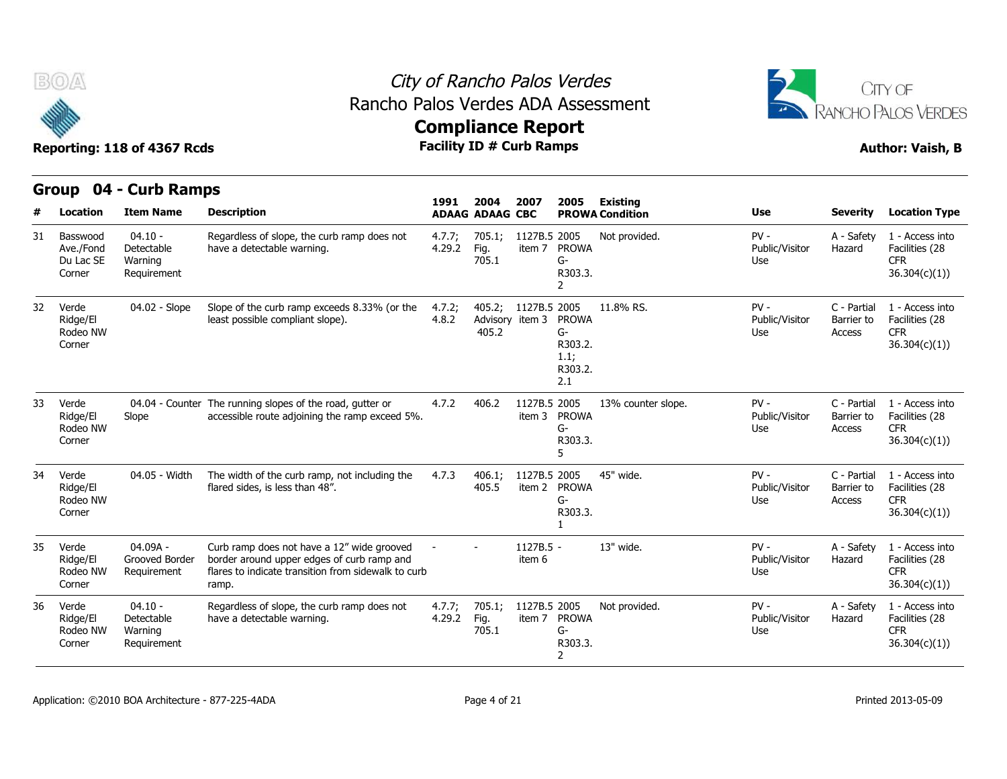



|    | Group                                        | 04 - Curb Ramps                                   |                                                                                                                                                          |                  |                                    |                        |                                                         |                                           |                                 |                                     |                                                                  |
|----|----------------------------------------------|---------------------------------------------------|----------------------------------------------------------------------------------------------------------------------------------------------------------|------------------|------------------------------------|------------------------|---------------------------------------------------------|-------------------------------------------|---------------------------------|-------------------------------------|------------------------------------------------------------------|
| #  | Location                                     | <b>Item Name</b>                                  | <b>Description</b>                                                                                                                                       | 1991             | 2004<br><b>ADAAG ADAAG CBC</b>     | 2007                   | 2005                                                    | <b>Existing</b><br><b>PROWA Condition</b> | <b>Use</b>                      | <b>Severity</b>                     | <b>Location Type</b>                                             |
| 31 | Basswood<br>Ave./Fond<br>Du Lac SE<br>Corner | $04.10 -$<br>Detectable<br>Warning<br>Requirement | Regardless of slope, the curb ramp does not<br>have a detectable warning.                                                                                | 4.7.7;<br>4.29.2 | 705.1;<br>Fig.<br>705.1            | 1127B.5 2005<br>item 7 | <b>PROWA</b><br>G-<br>R303.3.<br>$\overline{2}$         | Not provided.                             | $PV -$<br>Public/Visitor<br>Use | A - Safety<br>Hazard                | 1 - Access into<br>Facilities (28<br><b>CFR</b><br>36.304(c)(1)) |
| 32 | Verde<br>Ridge/El<br>Rodeo NW<br>Corner      | 04.02 - Slope                                     | Slope of the curb ramp exceeds 8.33% (or the<br>least possible compliant slope).                                                                         | 4.7.2;<br>4.8.2  | 405.2;<br>Advisory item 3<br>405.2 | 1127B.5 2005           | <b>PROWA</b><br>G-<br>R303.2.<br>1.1;<br>R303.2.<br>2.1 | 11.8% RS.                                 | $PV -$<br>Public/Visitor<br>Use | C - Partial<br>Barrier to<br>Access | 1 - Access into<br>Facilities (28<br><b>CFR</b><br>36.304(c)(1)) |
| 33 | Verde<br>Ridge/El<br>Rodeo NW<br>Corner      | Slope                                             | 04.04 - Counter The running slopes of the road, gutter or<br>accessible route adjoining the ramp exceed 5%.                                              | 4.7.2            | 406.2                              | 1127B.5 2005<br>item 3 | <b>PROWA</b><br>G-<br>R303.3.<br>5                      | 13% counter slope.                        | $PV -$<br>Public/Visitor<br>Use | C - Partial<br>Barrier to<br>Access | 1 - Access into<br>Facilities (28<br><b>CFR</b><br>36.304(c)(1)) |
| 34 | Verde<br>Ridge/El<br>Rodeo NW<br>Corner      | 04.05 - Width                                     | The width of the curb ramp, not including the<br>flared sides, is less than 48".                                                                         | 4.7.3            | 406.1;<br>405.5                    | 1127B.5 2005<br>item 2 | <b>PROWA</b><br>G-<br>R303.3.                           | 45" wide.                                 | $PV -$<br>Public/Visitor<br>Use | C - Partial<br>Barrier to<br>Access | 1 - Access into<br>Facilities (28<br><b>CFR</b><br>36.304(c)(1)  |
| 35 | Verde<br>Ridge/El<br>Rodeo NW<br>Corner      | 04.09A -<br>Grooved Border<br>Requirement         | Curb ramp does not have a 12" wide grooved<br>border around upper edges of curb ramp and<br>flares to indicate transition from sidewalk to curb<br>ramp. |                  |                                    | $1127B.5 -$<br>item 6  |                                                         | 13" wide.                                 | $PV -$<br>Public/Visitor<br>Use | A - Safety<br>Hazard                | 1 - Access into<br>Facilities (28<br><b>CFR</b><br>36.304(c)(1)  |
| 36 | Verde<br>Ridge/El<br>Rodeo NW<br>Corner      | $04.10 -$<br>Detectable<br>Warning<br>Requirement | Regardless of slope, the curb ramp does not<br>have a detectable warning.                                                                                | 4.7.7;<br>4.29.2 | 705.1;<br>Fig.<br>705.1            | 1127B.5 2005<br>item 7 | <b>PROWA</b><br>G-<br>R303.3.<br>2                      | Not provided.                             | $PV -$<br>Public/Visitor<br>Use | A - Safety<br>Hazard                | 1 - Access into<br>Facilities (28<br><b>CFR</b><br>36.304(c)(1)  |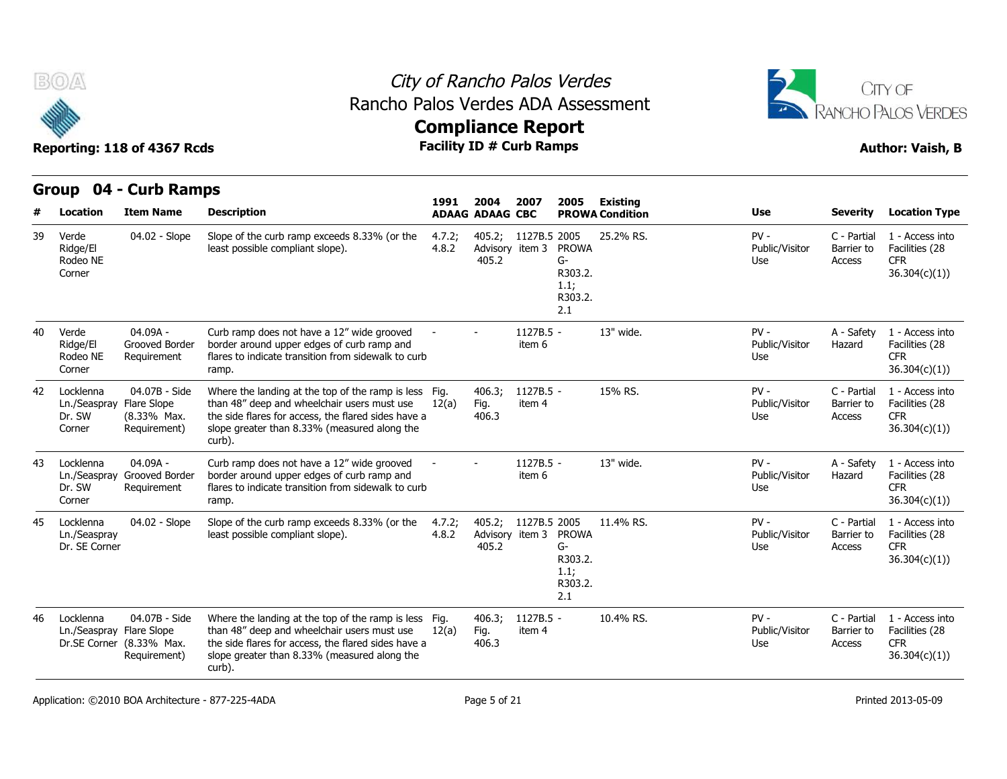

**Group 04 - Curb Ramps**

#### City of Rancho Palos Verdes Rancho Palos Verdes ADA Assessment



|    | GIUUP U4 - CUID KAIIIPS                       |                                                             |                                                                                                                                                                                                                       | 1991            | 2004                               | 2007                | 2005                                                    | <b>Existing</b>        |                                 |                                     |                                                                  |
|----|-----------------------------------------------|-------------------------------------------------------------|-----------------------------------------------------------------------------------------------------------------------------------------------------------------------------------------------------------------------|-----------------|------------------------------------|---------------------|---------------------------------------------------------|------------------------|---------------------------------|-------------------------------------|------------------------------------------------------------------|
|    | Location                                      | <b>Item Name</b>                                            | <b>Description</b>                                                                                                                                                                                                    |                 | <b>ADAAG ADAAG CBC</b>             |                     |                                                         | <b>PROWA Condition</b> | <b>Use</b>                      | <b>Severity</b>                     | <b>Location Type</b>                                             |
| 39 | Verde<br>Ridge/El<br>Rodeo NE<br>Corner       | 04.02 - Slope                                               | Slope of the curb ramp exceeds 8.33% (or the<br>least possible compliant slope).                                                                                                                                      | 4.7.2;<br>4.8.2 | 405.2;<br>Advisory item 3<br>405.2 | 1127B.5 2005        | <b>PROWA</b><br>G-<br>R303.2.<br>1.1;<br>R303.2.<br>2.1 | 25.2% RS.              | $PV -$<br>Public/Visitor<br>Use | C - Partial<br>Barrier to<br>Access | 1 - Access into<br>Facilities (28<br><b>CFR</b><br>36.304(c)(1)  |
| 40 | Verde<br>Ridge/El<br>Rodeo NE<br>Corner       | 04.09A -<br>Grooved Border<br>Requirement                   | Curb ramp does not have a 12" wide grooved<br>border around upper edges of curb ramp and<br>flares to indicate transition from sidewalk to curb<br>ramp.                                                              |                 |                                    | 1127B.5 -<br>item 6 |                                                         | 13" wide.              | $PV -$<br>Public/Visitor<br>Use | A - Safety<br>Hazard                | 1 - Access into<br>Facilities (28<br><b>CFR</b><br>36.304(c)(1)  |
| 42 | Locklenna<br>Ln./Seaspray<br>Dr. SW<br>Corner | 04.07B - Side<br>Flare Slope<br>(8.33% Max.<br>Requirement) | Where the landing at the top of the ramp is less Fig.<br>than 48" deep and wheelchair users must use<br>the side flares for access, the flared sides have a<br>slope greater than 8.33% (measured along the<br>curb). | 12(a)           | 406.3;<br>Fig.<br>406.3            | 1127B.5 -<br>item 4 |                                                         | 15% RS.                | $PV -$<br>Public/Visitor<br>Use | C - Partial<br>Barrier to<br>Access | 1 - Access into<br>Facilities (28<br><b>CFR</b><br>36.304(c)(1)  |
| 43 | Locklenna<br>Ln./Seaspray<br>Dr. SW<br>Corner | 04.09A -<br>Grooved Border<br>Requirement                   | Curb ramp does not have a 12" wide grooved<br>border around upper edges of curb ramp and<br>flares to indicate transition from sidewalk to curb<br>ramp.                                                              |                 |                                    | 1127B.5 -<br>item 6 |                                                         | 13" wide.              | $PV -$<br>Public/Visitor<br>Use | A - Safety<br>Hazard                | 1 - Access into<br>Facilities (28<br><b>CFR</b><br>36.304(c)(1)) |
| 45 | Locklenna<br>Ln./Seaspray<br>Dr. SE Corner    | 04.02 - Slope                                               | Slope of the curb ramp exceeds 8.33% (or the<br>least possible compliant slope).                                                                                                                                      | 4.7.2;<br>4.8.2 | 405.2;<br>Advisory item 3<br>405.2 | 1127B.5 2005        | <b>PROWA</b><br>G-<br>R303.2.<br>1.1;<br>R303.2.<br>2.1 | 11.4% RS.              | $PV -$<br>Public/Visitor<br>Use | C - Partial<br>Barrier to<br>Access | 1 - Access into<br>Facilities (28<br><b>CFR</b><br>36.304(c)(1)  |
| 46 | Locklenna<br>Ln./Seaspray Flare Slope         | 04.07B - Side<br>Dr.SE Corner (8.33% Max.<br>Requirement)   | Where the landing at the top of the ramp is less Fig.<br>than 48" deep and wheelchair users must use<br>the side flares for access, the flared sides have a<br>slope greater than 8.33% (measured along the<br>curb). | 12(a)           | 406.3;<br>Fig.<br>406.3            | 1127B.5 -<br>item 4 |                                                         | 10.4% RS.              | $PV -$<br>Public/Visitor<br>Use | C - Partial<br>Barrier to<br>Access | 1 - Access into<br>Facilities (28<br><b>CFR</b><br>36.304(c)(1)  |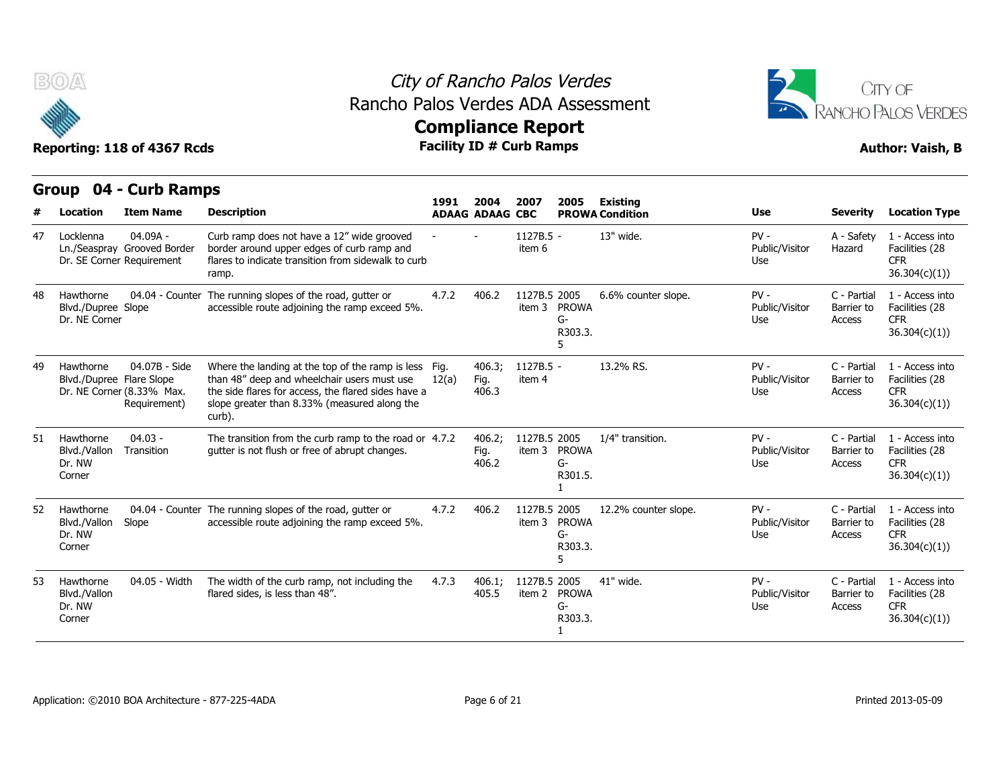



|    | Group                                            | 04 - Curb Ramps                                                        |                                                                                                                                                                                                                       |       |                                | 2007                   |                                    | <b>Existing</b>        |                                 |                                     |                                                                  |
|----|--------------------------------------------------|------------------------------------------------------------------------|-----------------------------------------------------------------------------------------------------------------------------------------------------------------------------------------------------------------------|-------|--------------------------------|------------------------|------------------------------------|------------------------|---------------------------------|-------------------------------------|------------------------------------------------------------------|
|    | Location                                         | <b>Item Name</b>                                                       | <b>Description</b>                                                                                                                                                                                                    | 1991  | 2004<br><b>ADAAG ADAAG CBC</b> |                        | 2005                               | <b>PROWA Condition</b> | <b>Use</b>                      | <b>Severity</b>                     | <b>Location Type</b>                                             |
| 47 | Locklenna                                        | $04.09A -$<br>Ln./Seaspray Grooved Border<br>Dr. SE Corner Requirement | Curb ramp does not have a 12" wide grooved<br>border around upper edges of curb ramp and<br>flares to indicate transition from sidewalk to curb<br>ramp.                                                              |       |                                | 1127B.5 -<br>item 6    |                                    | 13" wide.              | $PV -$<br>Public/Visitor<br>Use | A - Safety<br>Hazard                | 1 - Access into<br>Facilities (28<br><b>CFR</b><br>36.304(c)(1)) |
| 48 | Hawthorne<br>Blvd./Dupree Slope<br>Dr. NE Corner | 04.04 - Counter                                                        | The running slopes of the road, gutter or<br>accessible route adjoining the ramp exceed 5%.                                                                                                                           | 4.7.2 | 406.2                          | 1127B.5 2005<br>item 3 | <b>PROWA</b><br>$G-$<br>R303.3.    | 6.6% counter slope.    | $PV -$<br>Public/Visitor<br>Use | C - Partial<br>Barrier to<br>Access | 1 - Access into<br>Facilities (28<br><b>CFR</b><br>36.304(c)(1)  |
| 49 | Hawthorne<br>Blvd./Dupree Flare Slope            | 04.07B - Side<br>Dr. NE Corner (8.33% Max.<br>Requirement)             | Where the landing at the top of the ramp is less Fig.<br>than 48" deep and wheelchair users must use<br>the side flares for access, the flared sides have a<br>slope greater than 8.33% (measured along the<br>curb). | 12(a) | 406.3;<br>Fig.<br>406.3        | $1127B.5 -$<br>item 4  |                                    | 13.2% RS.              | $PV -$<br>Public/Visitor<br>Use | C - Partial<br>Barrier to<br>Access | 1 - Access into<br>Facilities (28<br><b>CFR</b><br>36.304(c)(1)) |
| 51 | Hawthorne<br>Blvd./Vallon<br>Dr. NW<br>Corner    | $04.03 -$<br>Transition                                                | The transition from the curb ramp to the road or 4.7.2<br>qutter is not flush or free of abrupt changes.                                                                                                              |       | 406.2:<br>Fig.<br>406.2        | 1127B.5 2005<br>item 3 | <b>PROWA</b><br>G-<br>R301.5.      | 1/4" transition.       | $PV -$<br>Public/Visitor<br>Use | C - Partial<br>Barrier to<br>Access | 1 - Access into<br>Facilities (28<br><b>CFR</b><br>36.304(c)(1)  |
| 52 | Hawthorne<br>Blvd./Vallon<br>Dr. NW<br>Corner    | Slope                                                                  | 04.04 - Counter The running slopes of the road, gutter or<br>accessible route adjoining the ramp exceed 5%.                                                                                                           | 4.7.2 | 406.2                          | 1127B.5 2005<br>item 3 | <b>PROWA</b><br>G-<br>R303.3.<br>5 | 12.2% counter slope.   | $PV -$<br>Public/Visitor<br>Use | C - Partial<br>Barrier to<br>Access | 1 - Access into<br>Facilities (28<br><b>CFR</b><br>36.304(c)(1)  |
| 53 | Hawthorne<br>Blvd./Vallon<br>Dr. NW<br>Corner    | 04.05 - Width                                                          | The width of the curb ramp, not including the<br>flared sides, is less than 48".                                                                                                                                      | 4.7.3 | 406.1;<br>405.5                | 1127B.5 2005<br>item 2 | <b>PROWA</b><br>G-<br>R303.3.      | 41" wide.              | $PV -$<br>Public/Visitor<br>Use | C - Partial<br>Barrier to<br>Access | 1 - Access into<br>Facilities (28<br><b>CFR</b><br>36.304(c)(1)  |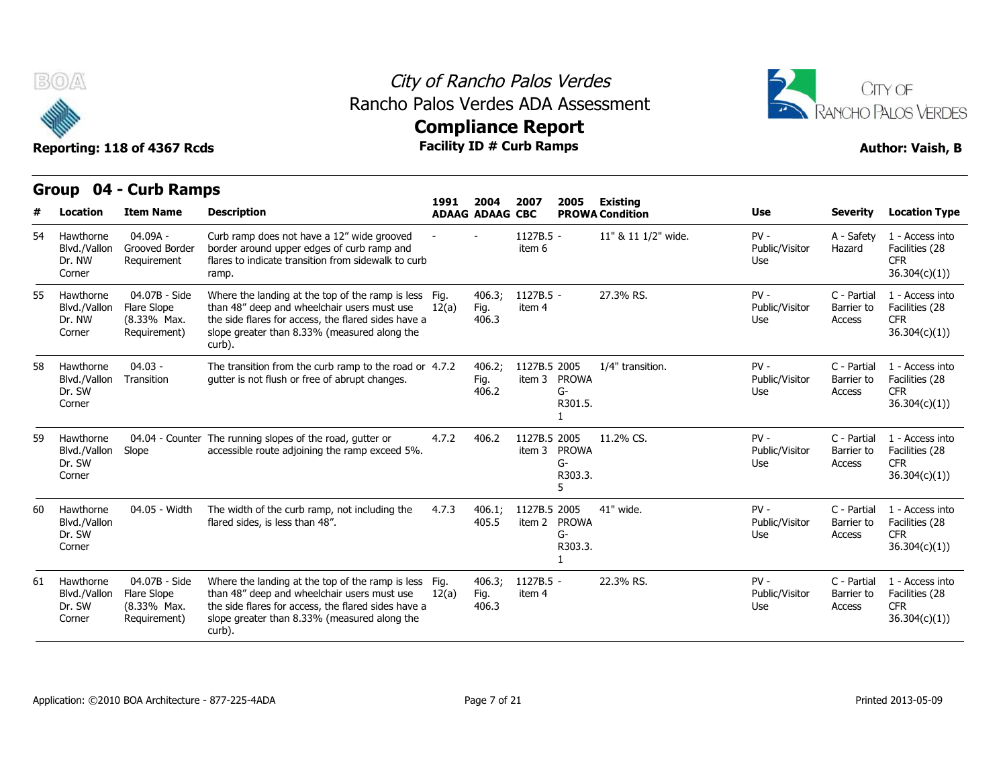



|    | <b>Group</b>                                  | 04 - Curb Ramps                                             |                                                                                                                                                                                                                  |               |                                |                                                         | 2005<br>Existing<br><b>Use</b><br><b>Severity</b><br><b>PROWA Condition</b><br>11" & 11 1/2" wide.<br>$PV -$<br>A - Safety<br>Public/Visitor<br>Hazard<br><b>CFR</b><br>Use<br>$PV -$<br>27.3% RS.<br>C - Partial<br>Public/Visitor<br>Barrier to<br><b>CFR</b><br>Use<br>Access<br>1/4" transition.<br>$PV -$<br>C - Partial<br><b>PROWA</b><br>Public/Visitor<br>Barrier to<br>G-<br><b>CFR</b><br>Use<br>Access<br>R301.5.<br>11.2% CS.<br>$PV -$<br>C - Partial<br><b>PROWA</b><br>Public/Visitor<br>Barrier to<br>G-<br><b>CFR</b><br>Use<br>Access<br>R303.3.<br>5<br>41" wide.<br>$PV -$<br>C - Partial |                                 |                                     |                                                                 |
|----|-----------------------------------------------|-------------------------------------------------------------|------------------------------------------------------------------------------------------------------------------------------------------------------------------------------------------------------------------|---------------|--------------------------------|---------------------------------------------------------|----------------------------------------------------------------------------------------------------------------------------------------------------------------------------------------------------------------------------------------------------------------------------------------------------------------------------------------------------------------------------------------------------------------------------------------------------------------------------------------------------------------------------------------------------------------------------------------------------------------|---------------------------------|-------------------------------------|-----------------------------------------------------------------|
| #  | <b>Location</b>                               | <b>Item Name</b>                                            | <b>Description</b>                                                                                                                                                                                               | 1991          | 2004<br><b>ADAAG ADAAG CBC</b> | 2007                                                    |                                                                                                                                                                                                                                                                                                                                                                                                                                                                                                                                                                                                                |                                 |                                     | <b>Location Type</b>                                            |
| 54 | Hawthorne<br>Blvd./Vallon<br>Dr. NW<br>Corner | 04.09A -<br>Grooved Border<br>Requirement                   | Curb ramp does not have a 12" wide grooved<br>border around upper edges of curb ramp and<br>flares to indicate transition from sidewalk to curb<br>ramp.                                                         |               |                                | 1127B.5 -<br>item 6                                     |                                                                                                                                                                                                                                                                                                                                                                                                                                                                                                                                                                                                                |                                 |                                     | 1 - Access into<br>Facilities (28<br>36.304(c)(1))              |
| 55 | Hawthorne<br>Blvd./Vallon<br>Dr. NW<br>Corner | 04.07B - Side<br>Flare Slope<br>(8.33% Max.<br>Requirement) | Where the landing at the top of the ramp is less<br>than 48" deep and wheelchair users must use<br>the side flares for access, the flared sides have a<br>slope greater than 8.33% (measured along the<br>curb). | Fig.<br>12(a) | 406.3;<br>Fig.<br>406.3        | 1127B.5 -<br>item 4                                     |                                                                                                                                                                                                                                                                                                                                                                                                                                                                                                                                                                                                                |                                 |                                     | 1 - Access into<br>Facilities (28<br>36.304(c)(1))              |
| 58 | Hawthorne<br>Blvd./Vallon<br>Dr. SW<br>Corner | $04.03 -$<br>Transition                                     | The transition from the curb ramp to the road or 4.7.2<br>qutter is not flush or free of abrupt changes.                                                                                                         |               | 406.2;<br>Fig.<br>406.2        | 1127B.5 2005<br>item 3                                  |                                                                                                                                                                                                                                                                                                                                                                                                                                                                                                                                                                                                                |                                 |                                     | 1 - Access into<br>Facilities (28<br>36.304(c)(1)               |
| 59 | Hawthorne<br>Blvd./Vallon<br>Dr. SW<br>Corner | Slope                                                       | 04.04 - Counter The running slopes of the road, gutter or<br>accessible route adjoining the ramp exceed 5%.                                                                                                      | 4.7.2         | 406.2                          | 1127B.5 2005<br>item 3                                  |                                                                                                                                                                                                                                                                                                                                                                                                                                                                                                                                                                                                                |                                 |                                     | 1 - Access into<br>Facilities (28<br>36.304(c)(1)               |
| 60 | Hawthorne<br>Blvd./Vallon<br>Dr. SW<br>Corner | 04.05 - Width                                               | The width of the curb ramp, not including the<br>flared sides, is less than 48".                                                                                                                                 | 4.7.3         | 406.1;<br>405.5                | 1127B.5 2005<br><b>PROWA</b><br>item 2<br>G-<br>R303.3. |                                                                                                                                                                                                                                                                                                                                                                                                                                                                                                                                                                                                                | Public/Visitor<br>Use           | Barrier to<br>Access                | 1 - Access into<br>Facilities (28<br><b>CFR</b><br>36.304(c)(1) |
| 61 | Hawthorne<br>Blvd./Vallon<br>Dr. SW<br>Corner | 04.07B - Side<br>Flare Slope<br>(8.33% Max.<br>Requirement) | Where the landing at the top of the ramp is less<br>than 48" deep and wheelchair users must use<br>the side flares for access, the flared sides have a<br>slope greater than 8.33% (measured along the<br>curb). | Fig.<br>12(a) | 406.3;<br>Fig.<br>406.3        | 1127B.5 -<br>item 4                                     | 22.3% RS.                                                                                                                                                                                                                                                                                                                                                                                                                                                                                                                                                                                                      | $PV -$<br>Public/Visitor<br>Use | C - Partial<br>Barrier to<br>Access | 1 - Access into<br>Facilities (28<br><b>CFR</b><br>36.304(c)(1) |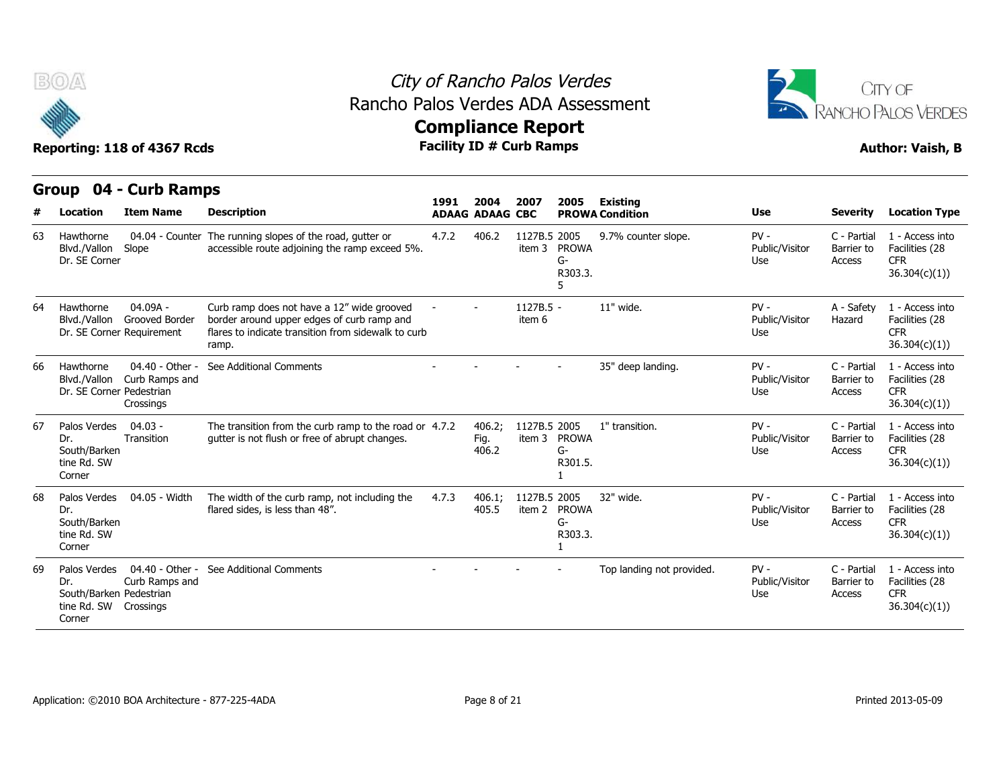



|    | Group                                                                   | 04 - Curb Ramps                                           |                                                                                                                                                          |       |                                |                        |                               |                                           |                                 |                                     |                                                                  |
|----|-------------------------------------------------------------------------|-----------------------------------------------------------|----------------------------------------------------------------------------------------------------------------------------------------------------------|-------|--------------------------------|------------------------|-------------------------------|-------------------------------------------|---------------------------------|-------------------------------------|------------------------------------------------------------------|
| #  | Location                                                                | <b>Item Name</b>                                          | <b>Description</b>                                                                                                                                       | 1991  | 2004<br><b>ADAAG ADAAG CBC</b> | 2007                   | 2005                          | <b>Existing</b><br><b>PROWA Condition</b> | <b>Use</b>                      | <b>Severity</b>                     | <b>Location Type</b>                                             |
| 63 | Hawthorne<br>Blvd./Vallon<br>Dr. SE Corner                              | 04.04 - Counter<br>Slope                                  | The running slopes of the road, gutter or<br>accessible route adjoining the ramp exceed 5%.                                                              | 4.7.2 | 406.2                          | 1127B.5 2005           | item 3 PROWA<br>G-<br>R303.3. | 9.7% counter slope.                       | $PV -$<br>Public/Visitor<br>Use | C - Partial<br>Barrier to<br>Access | 1 - Access into<br>Facilities (28<br><b>CFR</b><br>36.304(c)(1)  |
| 64 | Hawthorne<br>Blvd./Vallon                                               | $04.09A -$<br>Grooved Border<br>Dr. SE Corner Requirement | Curb ramp does not have a 12" wide grooved<br>border around upper edges of curb ramp and<br>flares to indicate transition from sidewalk to curb<br>ramp. |       |                                | 1127B.5 -<br>item 6    |                               | 11" wide.                                 | $PV -$<br>Public/Visitor<br>Use | A - Safety<br>Hazard                | 1 - Access into<br>Facilities (28<br><b>CFR</b><br>36.304(c)(1)) |
| 66 | Hawthorne<br>Blvd./Vallon<br>Dr. SE Corner Pedestrian                   | 04.40 - Other -<br>Curb Ramps and<br>Crossings            | See Additional Comments                                                                                                                                  |       |                                |                        |                               | 35" deep landing.                         | $PV -$<br>Public/Visitor<br>Use | C - Partial<br>Barrier to<br>Access | 1 - Access into<br>Facilities (28<br><b>CFR</b><br>36.304(c)(1)) |
| 67 | Palos Verdes<br>Dr.<br>South/Barken<br>tine Rd. SW<br>Corner            | $04.03 -$<br>Transition                                   | The transition from the curb ramp to the road or 4.7.2<br>qutter is not flush or free of abrupt changes.                                                 |       | 406.2:<br>Fig.<br>406.2        | 1127B.5 2005           | item 3 PROWA<br>G-<br>R301.5. | 1" transition.                            | $PV -$<br>Public/Visitor<br>Use | C - Partial<br>Barrier to<br>Access | 1 - Access into<br>Facilities (28<br><b>CFR</b><br>36.304(c)(1)) |
| 68 | Palos Verdes<br>Dr.<br>South/Barken<br>tine Rd. SW<br>Corner            | 04.05 - Width                                             | The width of the curb ramp, not including the<br>flared sides, is less than 48".                                                                         | 4.7.3 | 406.1:<br>405.5                | 1127B.5 2005<br>item 2 | <b>PROWA</b><br>G-<br>R303.3. | 32" wide.                                 | $PV -$<br>Public/Visitor<br>Use | C - Partial<br>Barrier to<br>Access | 1 - Access into<br>Facilities (28<br><b>CFR</b><br>36.304(c)(1)) |
| 69 | Palos Verdes<br>Dr.<br>South/Barken Pedestrian<br>tine Rd. SW<br>Corner | 04.40 - Other -<br>Curb Ramps and<br>Crossings            | See Additional Comments                                                                                                                                  |       |                                |                        |                               | Top landing not provided.                 | $PV -$<br>Public/Visitor<br>Use | C - Partial<br>Barrier to<br>Access | 1 - Access into<br>Facilities (28<br><b>CFR</b><br>36.304(c)(1)  |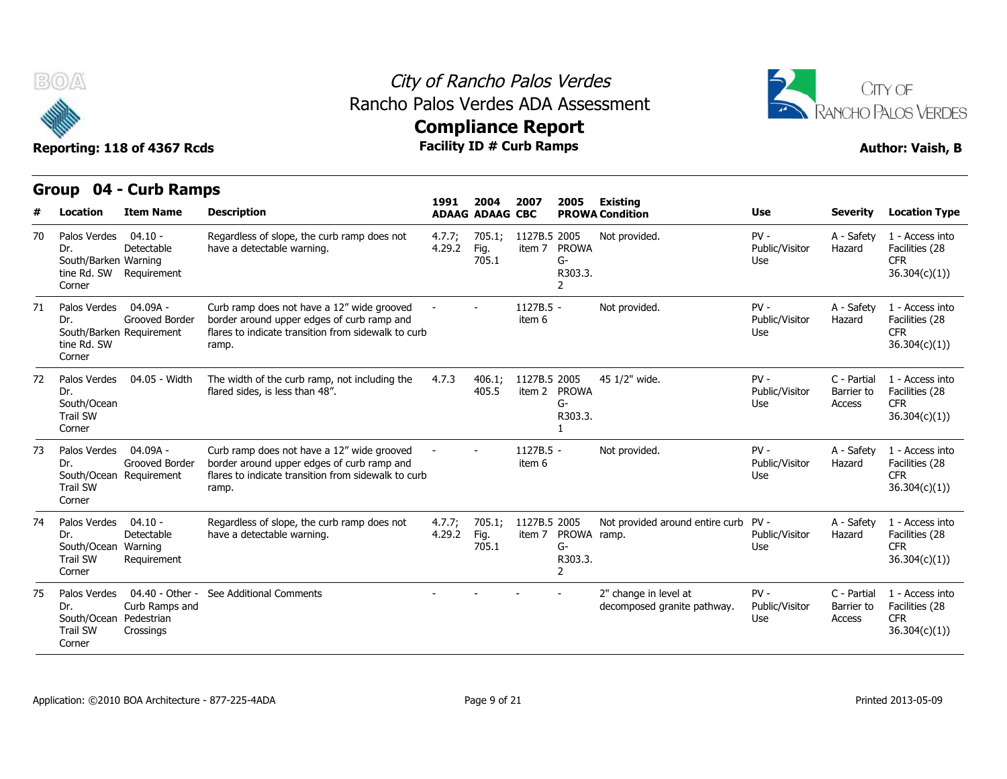



|    | Group                                                                      | 04 - Curb Ramps                                          |                                                                                                                                                          |                  |                                |                        |                                    |                                                      |                                 |                                     |                                                                  |
|----|----------------------------------------------------------------------------|----------------------------------------------------------|----------------------------------------------------------------------------------------------------------------------------------------------------------|------------------|--------------------------------|------------------------|------------------------------------|------------------------------------------------------|---------------------------------|-------------------------------------|------------------------------------------------------------------|
| #  | Location                                                                   | <b>Item Name</b>                                         | <b>Description</b>                                                                                                                                       | 1991             | 2004<br><b>ADAAG ADAAG CBC</b> | 2007                   | 2005                               | <b>Existing</b><br><b>PROWA Condition</b>            | <b>Use</b>                      | <b>Severity</b>                     | <b>Location Type</b>                                             |
| 70 | Palos Verdes<br>Dr.<br>South/Barken Warning<br>tine Rd. SW<br>Corner       | $04.10 -$<br>Detectable<br>Requirement                   | Regardless of slope, the curb ramp does not<br>have a detectable warning.                                                                                | 4.7.7;<br>4.29.2 | 705.1;<br>Fig.<br>705.1        | 1127B.5 2005<br>item 7 | <b>PROWA</b><br>G-<br>R303.3.<br>2 | Not provided.                                        | $PV -$<br>Public/Visitor<br>Use | A - Safety<br>Hazard                | 1 - Access into<br>Facilities (28<br><b>CFR</b><br>36.304(c)(1)  |
| 71 | Palos Verdes<br>Dr.<br>tine Rd. SW<br>Corner                               | $04.09A -$<br>Grooved Border<br>South/Barken Requirement | Curb ramp does not have a 12" wide grooved<br>border around upper edges of curb ramp and<br>flares to indicate transition from sidewalk to curb<br>ramp. |                  |                                | 1127B.5 -<br>item 6    |                                    | Not provided.                                        | $PV -$<br>Public/Visitor<br>Use | A - Safety<br>Hazard                | 1 - Access into<br>Facilities (28<br><b>CFR</b><br>36.304(c)(1)  |
| 72 | Palos Verdes<br>Dr.<br>South/Ocean<br><b>Trail SW</b><br>Corner            | 04.05 - Width                                            | The width of the curb ramp, not including the<br>flared sides, is less than 48".                                                                         | 4.7.3            | 406.1:<br>405.5                | 1127B.5 2005<br>item 2 | <b>PROWA</b><br>G-<br>R303.3.      | 45 1/2" wide.                                        | $PV -$<br>Public/Visitor<br>Use | C - Partial<br>Barrier to<br>Access | 1 - Access into<br>Facilities (28<br><b>CFR</b><br>36.304(c)(1)  |
| 73 | Palos Verdes<br>Dr.<br><b>Trail SW</b><br>Corner                           | $04.09A -$<br>Grooved Border<br>South/Ocean Requirement  | Curb ramp does not have a 12" wide grooved<br>border around upper edges of curb ramp and<br>flares to indicate transition from sidewalk to curb<br>ramp. |                  |                                | 1127B.5 -<br>item 6    |                                    | Not provided.                                        | $PV -$<br>Public/Visitor<br>Use | A - Safety<br>Hazard                | 1 - Access into<br>Facilities (28<br><b>CFR</b><br>36.304(c)(1)) |
| 74 | Palos Verdes<br>Dr.<br>South/Ocean<br><b>Trail SW</b><br>Corner            | $04.10 -$<br>Detectable<br>Warning<br>Requirement        | Regardless of slope, the curb ramp does not<br>have a detectable warning.                                                                                | 4.7.7;<br>4.29.2 | 705.1;<br>Fig.<br>705.1        | 1127B.5 2005<br>item 7 | PROWA ramp.<br>G-<br>R303.3.       | Not provided around entire curb                      | $PV -$<br>Public/Visitor<br>Use | A - Safety<br>Hazard                | 1 - Access into<br>Facilities (28<br><b>CFR</b><br>36.304(c)(1)  |
| 75 | Palos Verdes<br>Dr.<br>South/Ocean Pedestrian<br><b>Trail SW</b><br>Corner | 04.40 - Other -<br>Curb Ramps and<br>Crossings           | See Additional Comments                                                                                                                                  |                  |                                |                        |                                    | 2" change in level at<br>decomposed granite pathway. | $PV -$<br>Public/Visitor<br>Use | C - Partial<br>Barrier to<br>Access | 1 - Access into<br>Facilities (28<br><b>CFR</b><br>36.304(c)(1)  |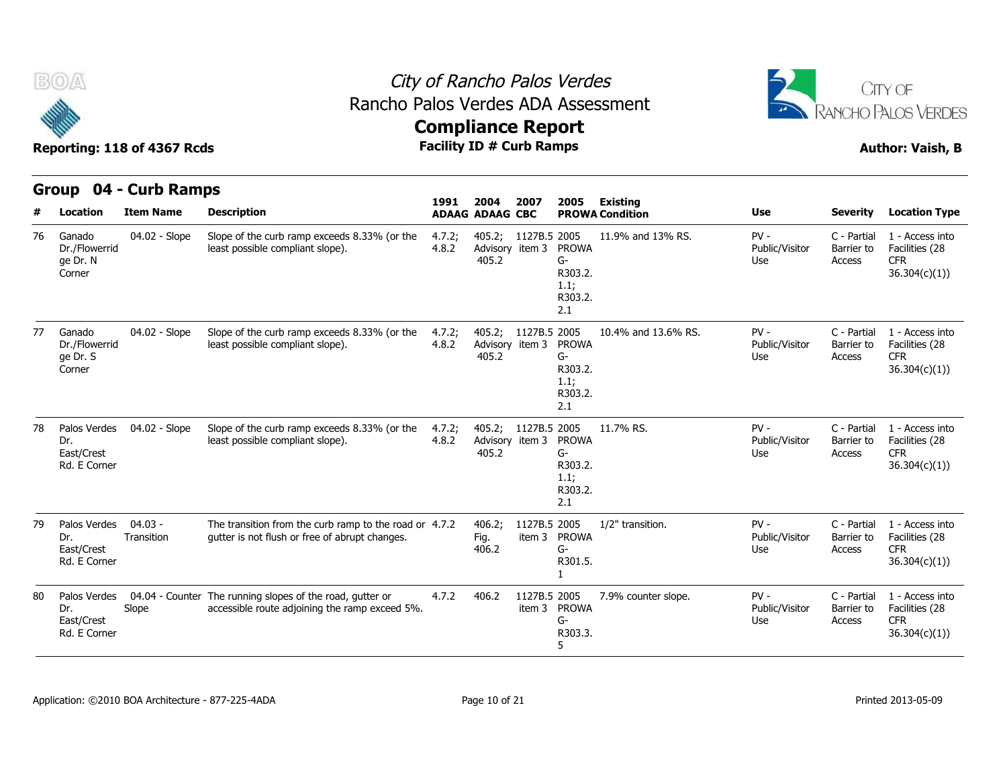



|    | Group                                             | 04 - Curb Ramps         |                                                                                                             |                 |                                                 |                        |                                                           |                                           |                                 |                                     |                                                                  |
|----|---------------------------------------------------|-------------------------|-------------------------------------------------------------------------------------------------------------|-----------------|-------------------------------------------------|------------------------|-----------------------------------------------------------|-------------------------------------------|---------------------------------|-------------------------------------|------------------------------------------------------------------|
| #  | Location                                          | <b>Item Name</b>        | <b>Description</b>                                                                                          | 1991            | 2004<br><b>ADAAG ADAAG CBC</b>                  | 2007                   | 2005                                                      | <b>Existing</b><br><b>PROWA Condition</b> | <b>Use</b>                      | <b>Severity</b>                     | <b>Location Type</b>                                             |
| 76 | Ganado<br>Dr./Flowerrid<br>ge Dr. N<br>Corner     | 04.02 - Slope           | Slope of the curb ramp exceeds 8.33% (or the<br>least possible compliant slope).                            | 4.7.2;<br>4.8.2 | 405.2;<br>Advisory item 3<br>405.2              | 1127B.5 2005           | <b>PROWA</b><br>G-<br>R303.2.<br>1.1;<br>R303.2.<br>2.1   | 11.9% and 13% RS.                         | $PV -$<br>Public/Visitor<br>Use | C - Partial<br>Barrier to<br>Access | 1 - Access into<br>Facilities (28<br><b>CFR</b><br>36.304(c)(1)  |
| 77 | Ganado<br>Dr./Flowerrid<br>ge Dr. S<br>Corner     | 04.02 - Slope           | Slope of the curb ramp exceeds 8.33% (or the<br>least possible compliant slope).                            | 4.7.2;<br>4.8.2 | 405.2; 1127B.5 2005<br>Advisory item 3<br>405.2 |                        | <b>PROWA</b><br>$G-$<br>R303.2.<br>1.1;<br>R303.2.<br>2.1 | 10.4% and 13.6% RS.                       | $PV -$<br>Public/Visitor<br>Use | C - Partial<br>Barrier to<br>Access | 1 - Access into<br>Facilities (28<br><b>CFR</b><br>36.304(c)(1)) |
| 78 | Palos Verdes<br>Dr.<br>East/Crest<br>Rd. E Corner | 04.02 - Slope           | Slope of the curb ramp exceeds 8.33% (or the<br>least possible compliant slope).                            | 4.7.2;<br>4.8.2 | 405.2;<br>Advisory item 3<br>405.2              | 1127B.5 2005           | <b>PROWA</b><br>G-<br>R303.2.<br>1.1;<br>R303.2.<br>2.1   | 11.7% RS.                                 | $PV -$<br>Public/Visitor<br>Use | C - Partial<br>Barrier to<br>Access | 1 - Access into<br>Facilities (28<br><b>CFR</b><br>36.304(c)(1)  |
| 79 | Palos Verdes<br>Dr.<br>East/Crest<br>Rd. E Corner | $04.03 -$<br>Transition | The transition from the curb ramp to the road or 4.7.2<br>qutter is not flush or free of abrupt changes.    |                 | 406.2;<br>Fig.<br>406.2                         | 1127B.5 2005<br>item 3 | <b>PROWA</b><br>$G-$<br>R301.5.                           | 1/2" transition.                          | $PV -$<br>Public/Visitor<br>Use | C - Partial<br>Barrier to<br>Access | 1 - Access into<br>Facilities (28<br><b>CFR</b><br>36.304(c)(1)) |
| 80 | Palos Verdes<br>Dr.<br>East/Crest<br>Rd. E Corner | Slope                   | 04.04 - Counter The running slopes of the road, gutter or<br>accessible route adjoining the ramp exceed 5%. | 4.7.2           | 406.2                                           | 1127B.5 2005<br>item 3 | <b>PROWA</b><br>G-<br>R303.3.<br>5                        | 7.9% counter slope.                       | $PV -$<br>Public/Visitor<br>Use | C - Partial<br>Barrier to<br>Access | 1 - Access into<br>Facilities (28<br><b>CFR</b><br>36.304(c)(1)) |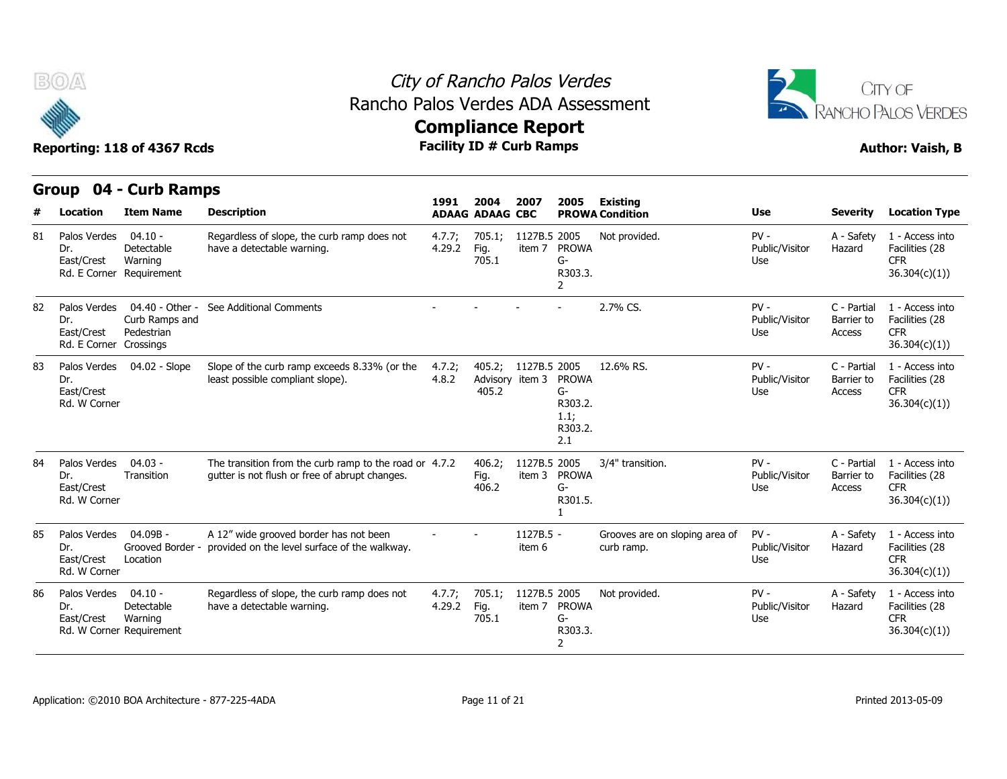



|    | <b>Group</b>                                      | 04 - Curb Ramps                                                |                                                                                                          |                  |                                    |                        |                                                         |                                              |                                 |                                     |                                                                  |
|----|---------------------------------------------------|----------------------------------------------------------------|----------------------------------------------------------------------------------------------------------|------------------|------------------------------------|------------------------|---------------------------------------------------------|----------------------------------------------|---------------------------------|-------------------------------------|------------------------------------------------------------------|
| #  | Location                                          | <b>Item Name</b>                                               | <b>Description</b>                                                                                       | 1991             | 2004<br><b>ADAAG ADAAG CBC</b>     | 2007                   | 2005                                                    | <b>Existing</b><br><b>PROWA Condition</b>    | <b>Use</b>                      | <b>Severity</b>                     | <b>Location Type</b>                                             |
| 81 | Palos Verdes<br>Dr.<br>East/Crest<br>Rd. E Corner | $04.10 -$<br>Detectable<br>Warning<br>Requirement              | Regardless of slope, the curb ramp does not<br>have a detectable warning.                                | 4.7.7;<br>4.29.2 | 705.1;<br>Fig.<br>705.1            | 1127B.5 2005<br>item 7 | <b>PROWA</b><br>$G-$<br>R303.3.<br>2                    | Not provided.                                | $PV -$<br>Public/Visitor<br>Use | A - Safety<br>Hazard                | 1 - Access into<br>Facilities (28<br><b>CFR</b><br>36.304(c)(1)) |
| 82 | Palos Verdes<br>Dr.<br>East/Crest<br>Rd. E Corner | 04.40 - Other -<br>Curb Ramps and<br>Pedestrian<br>Crossings   | See Additional Comments                                                                                  |                  |                                    |                        |                                                         | 2.7% CS.                                     | $PV -$<br>Public/Visitor<br>Use | C - Partial<br>Barrier to<br>Access | 1 - Access into<br>Facilities (28<br><b>CFR</b><br>36.304(c)(1)  |
| 83 | Palos Verdes<br>Dr.<br>East/Crest<br>Rd. W Corner | 04.02 - Slope                                                  | Slope of the curb ramp exceeds 8.33% (or the<br>least possible compliant slope).                         | 4.7.2;<br>4.8.2  | 405.2;<br>Advisory item 3<br>405.2 | 1127B.5 2005           | <b>PROWA</b><br>G-<br>R303.2.<br>1.1;<br>R303.2.<br>2.1 | 12.6% RS.                                    | $PV -$<br>Public/Visitor<br>Use | C - Partial<br>Barrier to<br>Access | 1 - Access into<br>Facilities (28<br><b>CFR</b><br>36.304(c)(1)) |
| 84 | Palos Verdes<br>Dr.<br>East/Crest<br>Rd. W Corner | $04.03 -$<br>Transition                                        | The transition from the curb ramp to the road or 4.7.2<br>qutter is not flush or free of abrupt changes. |                  | 406.2;<br>Fig.<br>406.2            | 1127B.5 2005<br>item 3 | <b>PROWA</b><br>$G-$<br>R301.5.                         | 3/4" transition.                             | $PV -$<br>Public/Visitor<br>Use | C - Partial<br>Barrier to<br>Access | 1 - Access into<br>Facilities (28<br><b>CFR</b><br>36.304(c)(1)) |
| 85 | Palos Verdes<br>Dr.<br>East/Crest<br>Rd. W Corner | 04.09B -<br>Grooved Border -<br>Location                       | A 12" wide grooved border has not been<br>provided on the level surface of the walkway.                  |                  |                                    | 1127B.5 -<br>item 6    |                                                         | Grooves are on sloping area of<br>curb ramp. | $PV -$<br>Public/Visitor<br>Use | A - Safety<br>Hazard                | 1 - Access into<br>Facilities (28<br><b>CFR</b><br>36.304(c)(1)  |
| 86 | Palos Verdes<br>Dr.<br>East/Crest                 | $04.10 -$<br>Detectable<br>Warning<br>Rd. W Corner Requirement | Regardless of slope, the curb ramp does not<br>have a detectable warning.                                | 4.7.7;<br>4.29.2 | 705.1;<br>Fig.<br>705.1            | 1127B.5 2005<br>item 7 | <b>PROWA</b><br>$G-$<br>R303.3.<br>$\overline{2}$       | Not provided.                                | $PV -$<br>Public/Visitor<br>Use | A - Safety<br>Hazard                | 1 - Access into<br>Facilities (28<br><b>CFR</b><br>36.304(c)(1)  |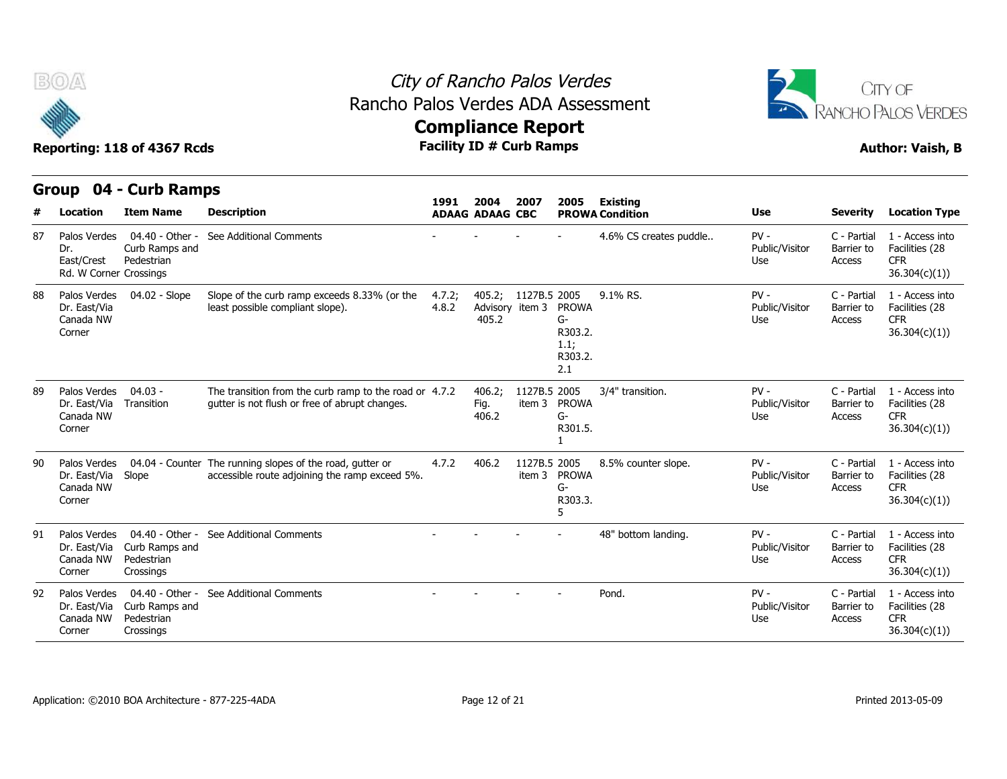



|     | Group                                                       | 04 - Curb Ramps                                              |                                                                                                          | 1991            | 2004                               | 2007                   | 2005                                                    |                                           |                                 |                                     |                                                                 |
|-----|-------------------------------------------------------------|--------------------------------------------------------------|----------------------------------------------------------------------------------------------------------|-----------------|------------------------------------|------------------------|---------------------------------------------------------|-------------------------------------------|---------------------------------|-------------------------------------|-----------------------------------------------------------------|
| #   | Location                                                    | <b>Item Name</b>                                             | <b>Description</b>                                                                                       |                 | <b>ADAAG ADAAG CBC</b>             |                        |                                                         | <b>Existing</b><br><b>PROWA Condition</b> | <b>Use</b>                      | <b>Severity</b>                     | <b>Location Type</b>                                            |
| 87  | Palos Verdes<br>Dr.<br>East/Crest<br>Rd. W Corner Crossings | 04.40 - Other -<br>Curb Ramps and<br>Pedestrian              | See Additional Comments                                                                                  |                 |                                    |                        |                                                         | 4.6% CS creates puddle                    | $PV -$<br>Public/Visitor<br>Use | C - Partial<br>Barrier to<br>Access | 1 - Access into<br>Facilities (28<br><b>CFR</b><br>36.304(c)(1) |
| 88  | Palos Verdes<br>Dr. East/Via<br>Canada NW<br>Corner         | 04.02 - Slope                                                | Slope of the curb ramp exceeds 8.33% (or the<br>least possible compliant slope).                         | 4.7.2;<br>4.8.2 | 405.2;<br>Advisory item 3<br>405.2 | 1127B.5 2005           | <b>PROWA</b><br>G-<br>R303.2.<br>1.1;<br>R303.2.<br>2.1 | 9.1% RS.                                  | $PV -$<br>Public/Visitor<br>Use | C - Partial<br>Barrier to<br>Access | 1 - Access into<br>Facilities (28<br><b>CFR</b><br>36.304(c)(1) |
| 89  | Palos Verdes<br>Dr. East/Via<br>Canada NW<br>Corner         | $04.03 -$<br>Transition                                      | The transition from the curb ramp to the road or 4.7.2<br>qutter is not flush or free of abrupt changes. |                 | 406.2;<br>Fig.<br>406.2            | 1127B.5 2005<br>item 3 | <b>PROWA</b><br>G-<br>R301.5.                           | 3/4" transition.                          | $PV -$<br>Public/Visitor<br>Use | C - Partial<br>Barrier to<br>Access | 1 - Access into<br>Facilities (28<br><b>CFR</b><br>36.304(c)(1) |
| 90  | Palos Verdes<br>Dr. East/Via<br>Canada NW<br>Corner         | 04.04 - Counter<br>Slope                                     | The running slopes of the road, gutter or<br>accessible route adjoining the ramp exceed 5%.              | 4.7.2           | 406.2                              | 1127B.5 2005           | item 3 PROWA<br>G-<br>R303.3.                           | 8.5% counter slope.                       | $PV -$<br>Public/Visitor<br>Use | C - Partial<br>Barrier to<br>Access | 1 - Access into<br>Facilities (28<br><b>CFR</b><br>36.304(c)(1) |
| 91. | Palos Verdes<br>Dr. East/Via<br>Canada NW<br>Corner         | 04.40 - Other -<br>Curb Ramps and<br>Pedestrian<br>Crossings | See Additional Comments                                                                                  |                 |                                    |                        |                                                         | 48" bottom landing.                       | $PV -$<br>Public/Visitor<br>Use | C - Partial<br>Barrier to<br>Access | 1 - Access into<br>Facilities (28<br><b>CFR</b><br>36.304(c)(1) |
| 92  | Palos Verdes<br>Dr. East/Via<br>Canada NW<br>Corner         | 04.40 - Other -<br>Curb Ramps and<br>Pedestrian<br>Crossings | See Additional Comments                                                                                  |                 |                                    |                        |                                                         | Pond.                                     | $PV -$<br>Public/Visitor<br>Use | C - Partial<br>Barrier to<br>Access | 1 - Access into<br>Facilities (28<br><b>CFR</b><br>36.304(c)(1) |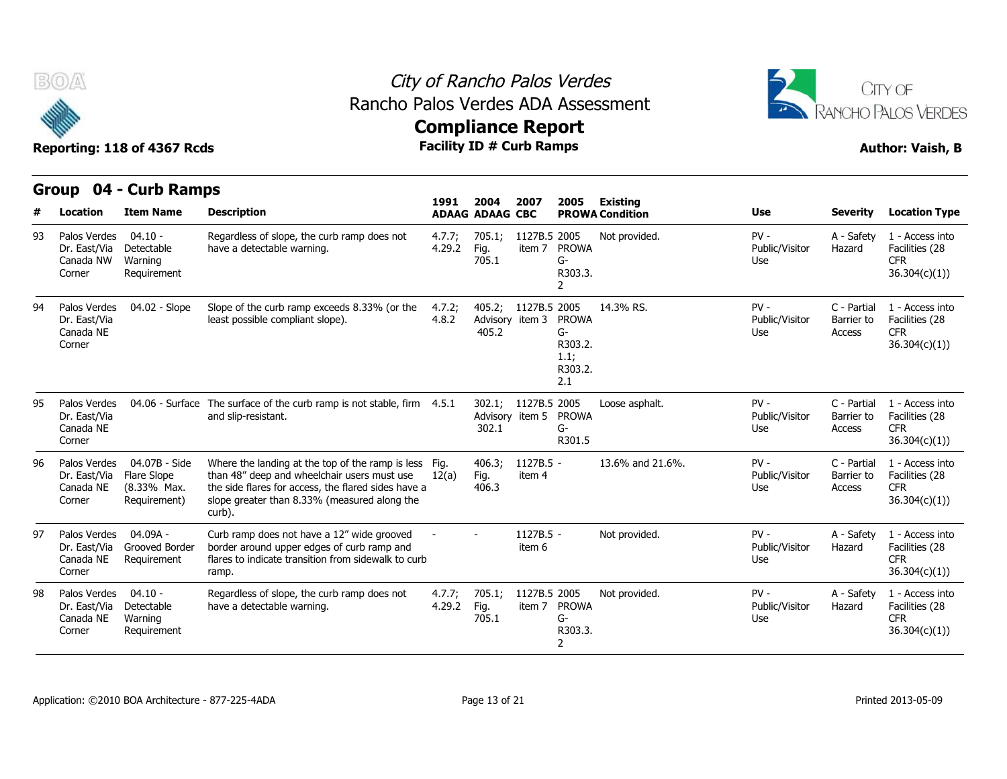



|    | Group                                               | 04 - Curb Ramps                                             |                                                                                                                                                                                                                       | 1991             | 2004                               | 2007                   |                                                           |                                           |                                 |                                     |                                                                  |
|----|-----------------------------------------------------|-------------------------------------------------------------|-----------------------------------------------------------------------------------------------------------------------------------------------------------------------------------------------------------------------|------------------|------------------------------------|------------------------|-----------------------------------------------------------|-------------------------------------------|---------------------------------|-------------------------------------|------------------------------------------------------------------|
|    | Location                                            | <b>Item Name</b>                                            | <b>Description</b>                                                                                                                                                                                                    |                  | <b>ADAAG ADAAG CBC</b>             |                        | 2005                                                      | <b>Existing</b><br><b>PROWA Condition</b> | <b>Use</b>                      | <b>Severity</b>                     | <b>Location Type</b>                                             |
| 93 | Palos Verdes<br>Dr. East/Via<br>Canada NW<br>Corner | $04.10 -$<br>Detectable<br>Warning<br>Requirement           | Regardless of slope, the curb ramp does not<br>have a detectable warning.                                                                                                                                             | 4.7.7;<br>4.29.2 | 705.1;<br>Fig.<br>705.1            | 1127B.5 2005<br>item 7 | <b>PROWA</b><br>G-<br>R303.3.<br>2                        | Not provided.                             | $PV -$<br>Public/Visitor<br>Use | A - Safety<br>Hazard                | 1 - Access into<br>Facilities (28<br><b>CFR</b><br>36.304(c)(1)) |
| 94 | Palos Verdes<br>Dr. East/Via<br>Canada NE<br>Corner | 04.02 - Slope                                               | Slope of the curb ramp exceeds 8.33% (or the<br>least possible compliant slope).                                                                                                                                      | 4.7.2;<br>4.8.2  | Advisory item 3<br>405.2           | 405.2; 1127B.5 2005    | <b>PROWA</b><br>$G-$<br>R303.2.<br>1.1;<br>R303.2.<br>2.1 | 14.3% RS.                                 | $PV -$<br>Public/Visitor<br>Use | C - Partial<br>Barrier to<br>Access | 1 - Access into<br>Facilities (28<br><b>CFR</b><br>36.304(c)(1)) |
| 95 | Palos Verdes<br>Dr. East/Via<br>Canada NE<br>Corner | 04.06 - Surface                                             | The surface of the curb ramp is not stable, firm 4.5.1<br>and slip-resistant.                                                                                                                                         |                  | 302.1;<br>Advisory item 5<br>302.1 | 1127B.5 2005           | <b>PROWA</b><br>G-<br>R301.5                              | Loose asphalt.                            | $PV -$<br>Public/Visitor<br>Use | C - Partial<br>Barrier to<br>Access | 1 - Access into<br>Facilities (28<br><b>CFR</b><br>36.304(c)(1)) |
| 96 | Palos Verdes<br>Dr. East/Via<br>Canada NE<br>Corner | 04.07B - Side<br>Flare Slope<br>(8.33% Max.<br>Requirement) | Where the landing at the top of the ramp is less Fig.<br>than 48" deep and wheelchair users must use<br>the side flares for access, the flared sides have a<br>slope greater than 8.33% (measured along the<br>curb). | 12(a)            | 406.3;<br>Fig.<br>406.3            | $1127B.5 -$<br>item 4  |                                                           | 13.6% and 21.6%.                          | $PV -$<br>Public/Visitor<br>Use | C - Partial<br>Barrier to<br>Access | 1 - Access into<br>Facilities (28<br><b>CFR</b><br>36.304(c)(1)  |
| 97 | Palos Verdes<br>Dr. East/Via<br>Canada NE<br>Corner | 04.09A -<br>Grooved Border<br>Requirement                   | Curb ramp does not have a 12" wide grooved<br>border around upper edges of curb ramp and<br>flares to indicate transition from sidewalk to curb<br>ramp.                                                              |                  |                                    | 1127B.5 -<br>item 6    |                                                           | Not provided.                             | $PV -$<br>Public/Visitor<br>Use | A - Safety<br>Hazard                | 1 - Access into<br>Facilities (28<br><b>CFR</b><br>36.304(c)(1)  |
| 98 | Palos Verdes<br>Dr. East/Via<br>Canada NE<br>Corner | 04.10 -<br>Detectable<br>Warning<br>Requirement             | Regardless of slope, the curb ramp does not<br>have a detectable warning.                                                                                                                                             | 4.7.7;<br>4.29.2 | 705.1;<br>Fig.<br>705.1            | 1127B.5 2005<br>item 7 | <b>PROWA</b><br>G-<br>R303.3.<br>2                        | Not provided.                             | $PV -$<br>Public/Visitor<br>Use | A - Safety<br>Hazard                | 1 - Access into<br>Facilities (28<br><b>CFR</b><br>36.304(c)(1)) |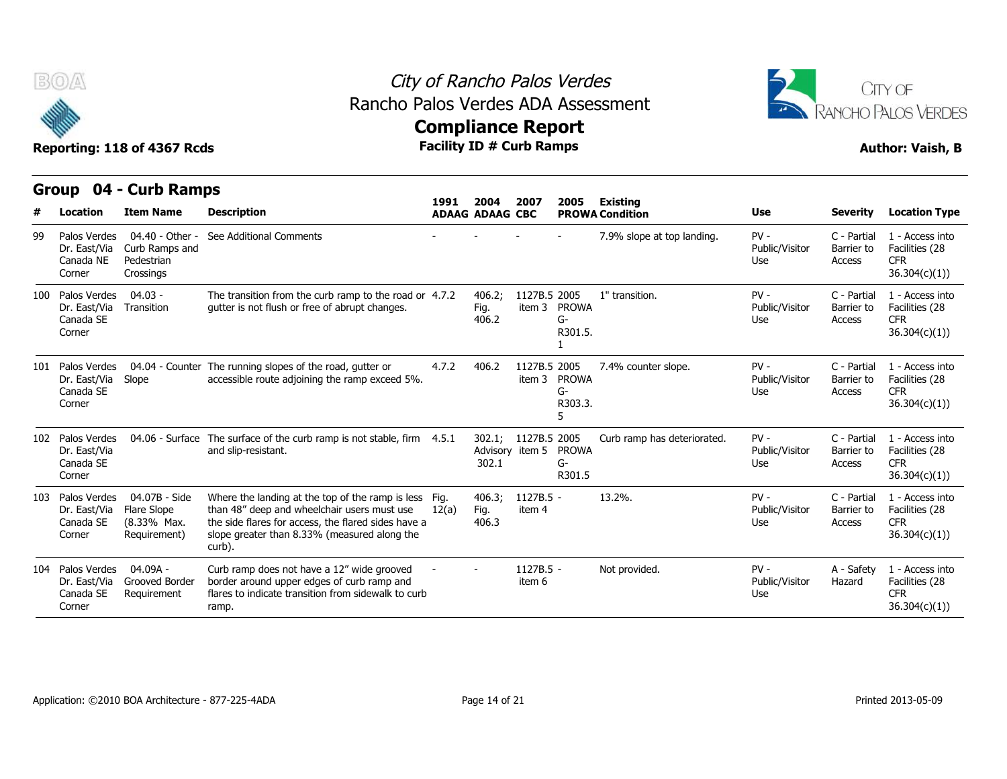



# **Compliance Report**<br>Facility ID # Curb Ramps

|     | v                                                       | Reporting: 118 of 4367 Rcds                                  |                                                                                                                                                                                                                       | AAMbuquee Izahart<br><b>Facility ID # Curb Ramps</b> |                                |                                 |                                 |                                           |                                 |                                     | <b>Author: Vaish, B</b>                                          |
|-----|---------------------------------------------------------|--------------------------------------------------------------|-----------------------------------------------------------------------------------------------------------------------------------------------------------------------------------------------------------------------|------------------------------------------------------|--------------------------------|---------------------------------|---------------------------------|-------------------------------------------|---------------------------------|-------------------------------------|------------------------------------------------------------------|
| #   | Group<br>Location                                       | 04 - Curb Ramps<br><b>Item Name</b>                          | <b>Description</b>                                                                                                                                                                                                    | 1991                                                 | 2004<br><b>ADAAG ADAAG CBC</b> | 2007                            | 2005                            | <b>Existing</b><br><b>PROWA Condition</b> | <b>Use</b>                      | <b>Severity</b>                     | <b>Location Type</b>                                             |
| 99  | Palos Verdes<br>Dr. East/Via<br>Canada NE<br>Corner     | 04.40 - Other -<br>Curb Ramps and<br>Pedestrian<br>Crossings | See Additional Comments                                                                                                                                                                                               |                                                      |                                |                                 |                                 | 7.9% slope at top landing.                | $PV -$<br>Public/Visitor<br>Use | C - Partial<br>Barrier to<br>Access | 1 - Access into<br>Facilities (28<br><b>CFR</b><br>36.304(c)(1)  |
| 100 | Palos Verdes<br>Dr. East/Via<br>Canada SE<br>Corner     | $04.03 -$<br>Transition                                      | The transition from the curb ramp to the road or 4.7.2<br>qutter is not flush or free of abrupt changes.                                                                                                              |                                                      | 406.2;<br>Fig.<br>406.2        | 1127B.5 2005<br>item 3          | <b>PROWA</b><br>$G-$<br>R301.5. | 1" transition.                            | $PV -$<br>Public/Visitor<br>Use | C - Partial<br>Barrier to<br>Access | 1 - Access into<br>Facilities (28<br><b>CFR</b><br>36.304(c)(1)) |
| 101 | Palos Verdes<br>Dr. East/Via<br>Canada SE<br>Corner     | Slope                                                        | 04.04 - Counter The running slopes of the road, gutter or<br>accessible route adjoining the ramp exceed 5%.                                                                                                           | 4.7.2                                                | 406.2                          | 1127B.5 2005<br>item 3          | <b>PROWA</b><br>G-<br>R303.3.   | 7.4% counter slope.                       | $PV -$<br>Public/Visitor<br>Use | C - Partial<br>Barrier to<br>Access | 1 - Access into<br>Facilities (28<br><b>CFR</b><br>36.304(c)(1)) |
|     | 102 Palos Verdes<br>Dr. East/Via<br>Canada SE<br>Corner |                                                              | 04.06 - Surface The surface of the curb ramp is not stable, firm 4.5.1<br>and slip-resistant.                                                                                                                         |                                                      | 302.1;<br>302.1                | 1127B.5 2005<br>Advisory item 5 | <b>PROWA</b><br>G-<br>R301.5    | Curb ramp has deteriorated.               | $PV -$<br>Public/Visitor<br>Use | C - Partial<br>Barrier to<br>Access | 1 - Access into<br>Facilities (28<br><b>CFR</b><br>36.304(c)(1)  |
| 103 | Palos Verdes<br>Dr. East/Via<br>Canada SE<br>Corner     | 04.07B - Side<br>Flare Slope<br>(8.33% Max.<br>Requirement)  | Where the landing at the top of the ramp is less Fig.<br>than 48" deep and wheelchair users must use<br>the side flares for access, the flared sides have a<br>slope greater than 8.33% (measured along the<br>curb). | 12(a)                                                | 406.3;<br>Fig.<br>406.3        | 1127B.5 -<br>item 4             |                                 | 13.2%                                     | $PV -$<br>Public/Visitor<br>Use | C - Partial<br>Barrier to<br>Access | 1 - Access into<br>Facilities (28<br><b>CFR</b><br>36.304(c)(1)  |
| 104 | Palos Verdes<br>Dr. East/Via<br>Canada SE<br>Corner     | $04.09A -$<br>Grooved Border<br>Requirement                  | Curb ramp does not have a 12" wide grooved<br>border around upper edges of curb ramp and<br>flares to indicate transition from sidewalk to curb<br>ramp.                                                              |                                                      |                                | 1127B.5 -<br>item 6             |                                 | Not provided.                             | $PV -$<br>Public/Visitor<br>Use | A - Safety<br>Hazard                | 1 - Access into<br>Facilities (28<br><b>CFR</b><br>36.304(c)(1)) |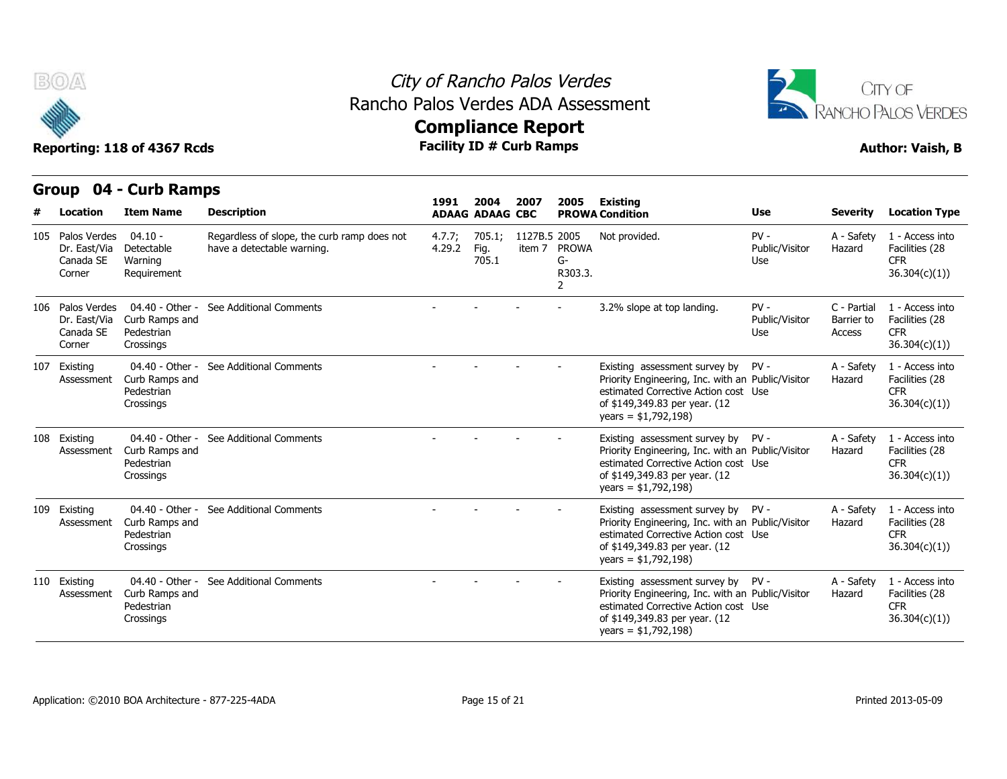

#### City of Rancho Palos Verdes Rancho Palos Verdes ADA Assessment



|   |                                                         | Reporting: 118 of 4367 Rcds                                  |                                                                           | <b>Facility ID # Curb Ramps</b> |                                |              |                                    |                                                                                                                                                                                          |                                 |                                     | <b>Author: Vaish, B</b>                                          |
|---|---------------------------------------------------------|--------------------------------------------------------------|---------------------------------------------------------------------------|---------------------------------|--------------------------------|--------------|------------------------------------|------------------------------------------------------------------------------------------------------------------------------------------------------------------------------------------|---------------------------------|-------------------------------------|------------------------------------------------------------------|
|   | Group 04 - Curb Ramps                                   |                                                              |                                                                           |                                 |                                |              |                                    |                                                                                                                                                                                          |                                 |                                     |                                                                  |
| # | Location                                                | <b>Item Name</b>                                             | <b>Description</b>                                                        | 1991                            | 2004<br><b>ADAAG ADAAG CBC</b> | 2007         | 2005                               | <b>Existing</b><br><b>PROWA Condition</b>                                                                                                                                                | Use                             | <b>Severity</b>                     | <b>Location Type</b>                                             |
|   | 105 Palos Verdes<br>Dr. East/Via<br>Canada SE<br>Corner | $04.10 -$<br>Detectable<br>Warning<br>Requirement            | Regardless of slope, the curb ramp does not<br>have a detectable warning. | 4.7.7;<br>4.29.2                | 705.1;<br>Fig.<br>705.1        | 1127B.5 2005 | item 7 PROWA<br>G-<br>R303.3.<br>2 | Not provided.                                                                                                                                                                            | $PV -$<br>Public/Visitor<br>Use | A - Safety<br>Hazard                | 1 - Access into<br>Facilities (28<br><b>CFR</b><br>36.304(c)(1)) |
|   | 106 Palos Verdes<br>Dr. East/Via<br>Canada SE<br>Corner | 04.40 - Other -<br>Curb Ramps and<br>Pedestrian<br>Crossings | See Additional Comments                                                   |                                 |                                |              |                                    | 3.2% slope at top landing.                                                                                                                                                               | $PV -$<br>Public/Visitor<br>Use | C - Partial<br>Barrier to<br>Access | 1 - Access into<br>Facilities (28<br><b>CFR</b><br>36.304(c)(1)  |
|   | 107 Existing<br>Assessment                              | 04.40 - Other -<br>Curb Ramps and<br>Pedestrian<br>Crossings | See Additional Comments                                                   |                                 |                                |              |                                    | Existing assessment survey by PV -<br>Priority Engineering, Inc. with an Public/Visitor<br>estimated Corrective Action cost Use<br>of \$149,349.83 per year. (12<br>years = $$1,792,198$ |                                 | A - Safety<br>Hazard                | 1 - Access into<br>Facilities (28<br><b>CFR</b><br>36.304(c)(1)  |
|   | 108 Existing<br>Assessment                              | 04.40 - Other -<br>Curb Ramps and<br>Pedestrian<br>Crossings | See Additional Comments                                                   |                                 |                                |              |                                    | Existing assessment survey by PV -<br>Priority Engineering, Inc. with an Public/Visitor<br>estimated Corrective Action cost Use<br>of \$149,349.83 per year. (12<br>years = $$1,792,198$ |                                 | A - Safety<br>Hazard                | 1 - Access into<br>Facilities (28<br><b>CFR</b><br>36.304(c)(1)  |
|   | 109 Existing<br>Assessment                              | 04.40 - Other -<br>Curb Ramps and<br>Pedestrian<br>Crossings | See Additional Comments                                                   |                                 |                                |              |                                    | Existing assessment survey by PV -<br>Priority Engineering, Inc. with an Public/Visitor<br>estimated Corrective Action cost Use<br>of \$149,349.83 per year. (12<br>years = $$1,792,198$ |                                 | A - Safety<br>Hazard                | 1 - Access into<br>Facilities (28<br><b>CFR</b><br>36.304(c)(1)) |
|   | 110 Existing<br>Assessment                              | 04.40 - Other -<br>Curb Ramps and<br>Pedestrian<br>Crossings | See Additional Comments                                                   |                                 |                                |              |                                    | Existing assessment survey by PV -<br>Priority Engineering, Inc. with an Public/Visitor<br>estimated Corrective Action cost Use<br>of \$149,349.83 per year. (12<br>years = $$1,792,198$ |                                 | A - Safety<br>Hazard                | 1 - Access into<br>Facilities (28<br><b>CFR</b><br>36.304(c)(1)  |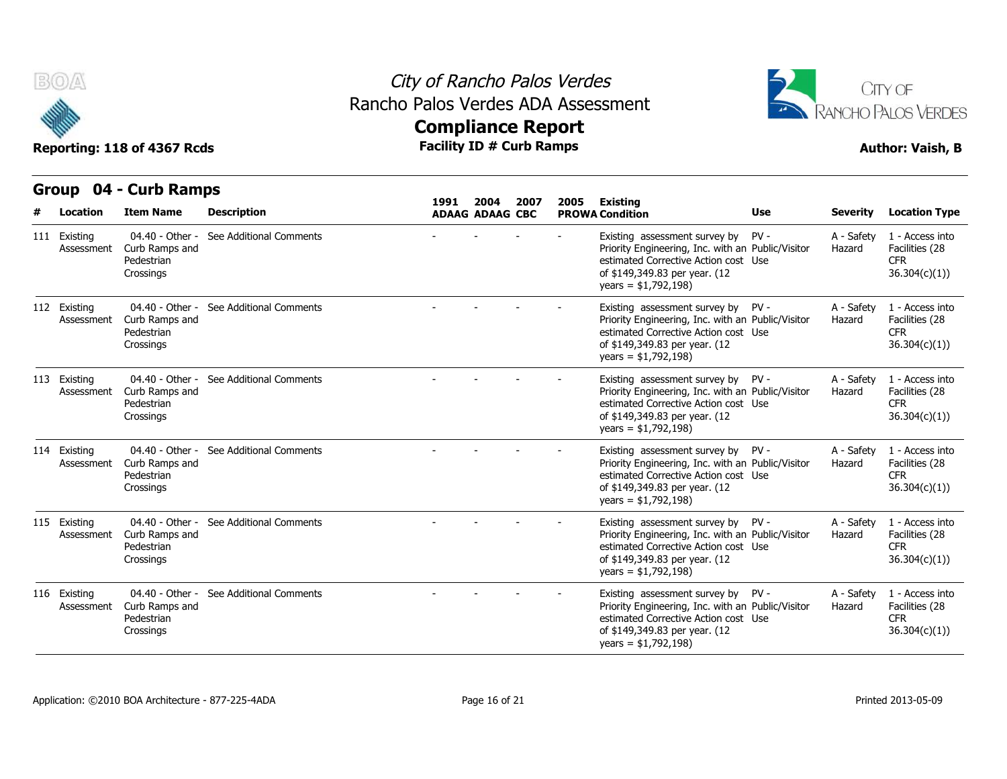

#### City of Rancho Palos Verdes Rancho Palos Verdes ADA Assessment



| B(0)                       | Reporting: 118 of 4367 Rcds                                  |                         | City of Rancho Palos Verdes<br>Rancho Palos Verdes ADA Assessment |                                | <b>Facility ID # Curb Ramps</b> | <b>Compliance Report</b> |                                                                                                                                                                                            |        |                      | CITY OF<br>RANCHO PALOS VERDES<br><b>Author: Vaish, B</b>        |
|----------------------------|--------------------------------------------------------------|-------------------------|-------------------------------------------------------------------|--------------------------------|---------------------------------|--------------------------|--------------------------------------------------------------------------------------------------------------------------------------------------------------------------------------------|--------|----------------------|------------------------------------------------------------------|
| Group                      | 04 - Curb Ramps                                              |                         |                                                                   |                                |                                 |                          |                                                                                                                                                                                            |        |                      |                                                                  |
| Location                   | <b>Item Name</b>                                             | <b>Description</b>      | 1991                                                              | 2004<br><b>ADAAG ADAAG CBC</b> | 2007                            | 2005                     | <b>Existing</b><br><b>PROWA Condition</b>                                                                                                                                                  | Use    | <b>Severity</b>      | <b>Location Type</b>                                             |
| 111 Existing<br>Assessment | 04.40 - Other -<br>Curb Ramps and<br>Pedestrian<br>Crossings | See Additional Comments |                                                                   |                                |                                 |                          | Existing assessment survey by<br>Priority Engineering, Inc. with an Public/Visitor<br>estimated Corrective Action cost Use<br>of \$149,349.83 per year. (12<br>years = $$1,792,198$        | $PV -$ | A - Safety<br>Hazard | 1 - Access into<br>Facilities (28<br><b>CFR</b><br>36.304(c)(1)  |
| 112 Existing<br>Assessment | 04.40 - Other -<br>Curb Ramps and<br>Pedestrian<br>Crossings | See Additional Comments |                                                                   |                                |                                 |                          | Existing assessment survey by PV -<br>Priority Engineering, Inc. with an Public/Visitor<br>estimated Corrective Action cost Use<br>of \$149,349.83 per year. (12<br>years = $$1,792,198$ ) |        | A - Safety<br>Hazard | 1 - Access into<br>Facilities (28<br><b>CFR</b><br>36.304(c)(1)) |
| 113 Existing<br>Assessment | 04.40 - Other -<br>Curb Ramps and<br>Pedestrian<br>Crossings | See Additional Comments |                                                                   |                                |                                 |                          | Existing assessment survey by PV -<br>Priority Engineering, Inc. with an Public/Visitor<br>estimated Corrective Action cost Use<br>of \$149,349.83 per year. (12<br>years = $$1,792,198$   |        | A - Safety<br>Hazard | 1 - Access into<br>Facilities (28<br><b>CFR</b><br>36.304(c)(1)) |
| 114 Existing<br>Assessment | 04.40 - Other -<br>Curb Ramps and<br>Pedestrian<br>Crossings | See Additional Comments |                                                                   |                                |                                 |                          | Existing assessment survey by PV -<br>Priority Engineering, Inc. with an Public/Visitor<br>estimated Corrective Action cost Use<br>of \$149,349.83 per year. (12<br>years = $$1,792,198$   |        | A - Safety<br>Hazard | 1 - Access into<br>Facilities (28<br><b>CFR</b><br>36.304(c)(1)) |
| 115 Existing<br>Assessment | 04.40 - Other -<br>Curb Ramps and<br>Pedestrian<br>Crossings | See Additional Comments |                                                                   |                                |                                 |                          | Existing assessment survey by PV -<br>Priority Engineering, Inc. with an Public/Visitor<br>estimated Corrective Action cost Use<br>of \$149,349.83 per year. (12<br>years = $$1,792,198$   |        | A - Safety<br>Hazard | 1 - Access into<br>Facilities (28<br><b>CFR</b><br>36.304(c)(1)) |
| 116 Existing<br>Assessment | 04.40 - Other -<br>Curb Ramps and<br>Pedestrian<br>Crossings | See Additional Comments |                                                                   |                                |                                 |                          | Existing assessment survey by PV -<br>Priority Engineering, Inc. with an Public/Visitor<br>estimated Corrective Action cost Use<br>of \$149,349.83 per year. (12<br>$years = $1,792,198)$  |        | A - Safety<br>Hazard | 1 - Access into<br>Facilities (28<br><b>CFR</b><br>36.304(c)(1)) |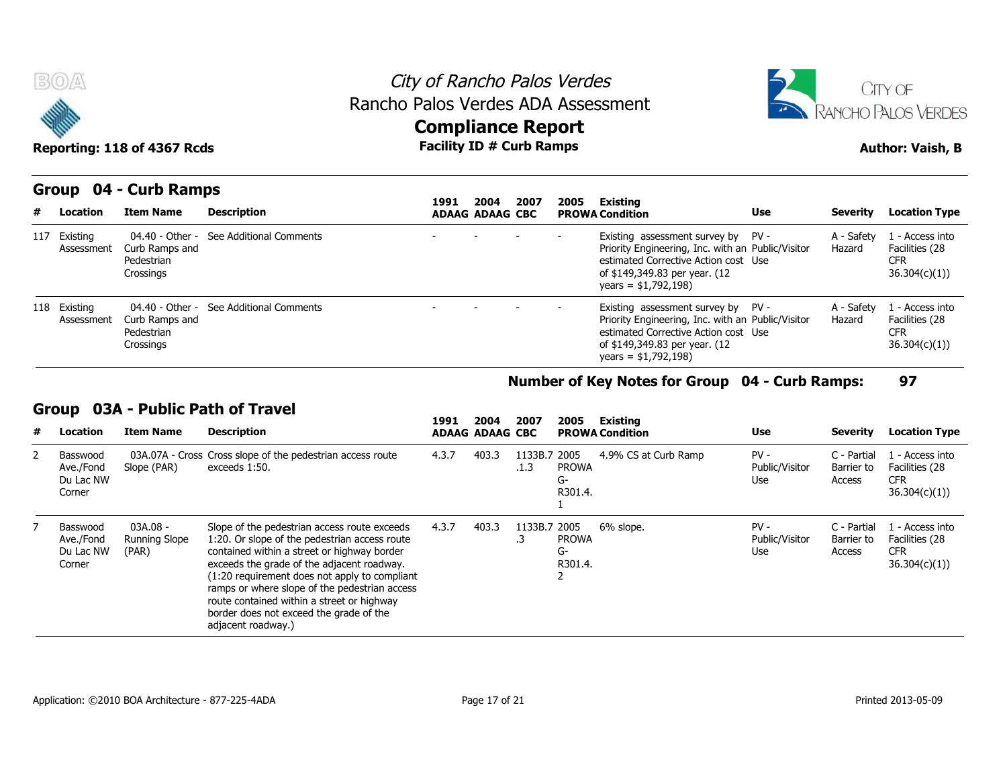



### **Compliance Report**

#### **Group 04 - Curb Ramps**

| Reporting: 118 of 4367 Rcds |                                                              |                                         | <b>Facility ID # Curb Ramps</b> |                        |      | <b>Author: Vaish, B</b> |                                                                                                                                                                                           |            |                      |                                                                 |
|-----------------------------|--------------------------------------------------------------|-----------------------------------------|---------------------------------|------------------------|------|-------------------------|-------------------------------------------------------------------------------------------------------------------------------------------------------------------------------------------|------------|----------------------|-----------------------------------------------------------------|
|                             | Group 04 - Curb Ramps                                        |                                         | 1991                            | 2004                   | 2007 | 2005                    | Existing                                                                                                                                                                                  |            |                      |                                                                 |
| # Location                  | <b>Item Name</b>                                             | <b>Description</b>                      |                                 | <b>ADAAG ADAAG CBC</b> |      |                         | <b>PROWA Condition</b>                                                                                                                                                                    | <b>Use</b> | <b>Severity</b>      | <b>Location Type</b>                                            |
| 117 Existing<br>Assessment  | Curb Ramps and<br>Pedestrian<br>Crossings                    | 04.40 - Other - See Additional Comments |                                 |                        |      |                         | Existing assessment survey by PV -<br>Priority Engineering, Inc. with an Public/Visitor<br>estimated Corrective Action cost Use<br>of \$149,349.83 per year. (12<br>years = $$1,792,198$  |            | A - Safety<br>Hazard | 1 - Access into<br>Facilities (28<br><b>CFR</b><br>36.304(c)(1) |
| 118 Existing<br>Assessment  | 04.40 - Other -<br>Curb Ramps and<br>Pedestrian<br>Crossings | See Additional Comments                 |                                 |                        |      |                         | Existing assessment survey by PV -<br>Priority Engineering, Inc. with an Public/Visitor<br>estimated Corrective Action cost Use<br>of \$149,349.83 per year. (12<br>$years = $1,792,198)$ |            | A - Safety<br>Hazard | 1 - Access into<br>Facilities (28<br><b>CFR</b><br>36.304(c)(1) |

#### **Number of Key Notes for Group 04 - Curb Ramps: 97**

#### **Group 03A - Public Path of Travel**

| # | Location                                     | <b>Item Name</b>                   | <b>Description</b>                                                                                                                                                                                                                                                                                                                                                                                          | 1991  | 2004<br><b>ADAAG ADAAG CBC</b> | 2007                 | 2005                                  | Existing<br><b>PROWA Condition</b> | <b>Use</b>                      | Severity                            | <b>Location Type</b>                                            |
|---|----------------------------------------------|------------------------------------|-------------------------------------------------------------------------------------------------------------------------------------------------------------------------------------------------------------------------------------------------------------------------------------------------------------------------------------------------------------------------------------------------------------|-------|--------------------------------|----------------------|---------------------------------------|------------------------------------|---------------------------------|-------------------------------------|-----------------------------------------------------------------|
|   | Basswood<br>Ave./Fond<br>Du Lac NW<br>Corner | Slope (PAR)                        | 03A.07A - Cross Cross slope of the pedestrian access route<br>exceeds 1:50.                                                                                                                                                                                                                                                                                                                                 | 4.3.7 | 403.3                          | 1133B.7 2005<br>.1.3 | <b>PROWA</b><br>G-<br>R301.4.         | 4.9% CS at Curb Ramp               | $PV -$<br>Public/Visitor<br>Use | C - Partial<br>Barrier to<br>Access | . - Access into<br>Facilities (28<br><b>CFR</b><br>36.304(c)(1) |
|   | Basswood<br>Ave./Fond<br>Du Lac NW<br>Corner | 03A.08 -<br>Running Slope<br>(PAR) | Slope of the pedestrian access route exceeds<br>1:20. Or slope of the pedestrian access route<br>contained within a street or highway border<br>exceeds the grade of the adjacent roadway.<br>(1:20 requirement does not apply to compliant<br>ramps or where slope of the pedestrian access<br>route contained within a street or highway<br>border does not exceed the grade of the<br>adjacent roadway.) | 4.3.7 | 403.3                          | 1133B.7<br>$\cdot$ 3 | 2005<br><b>PROWA</b><br>G-<br>R301.4. | 6% slope.                          | $PV -$<br>Public/Visitor<br>Use | C - Partial<br>Barrier to<br>Access | L - Access into<br>Facilities (28<br><b>CFR</b><br>36.304(c)(1) |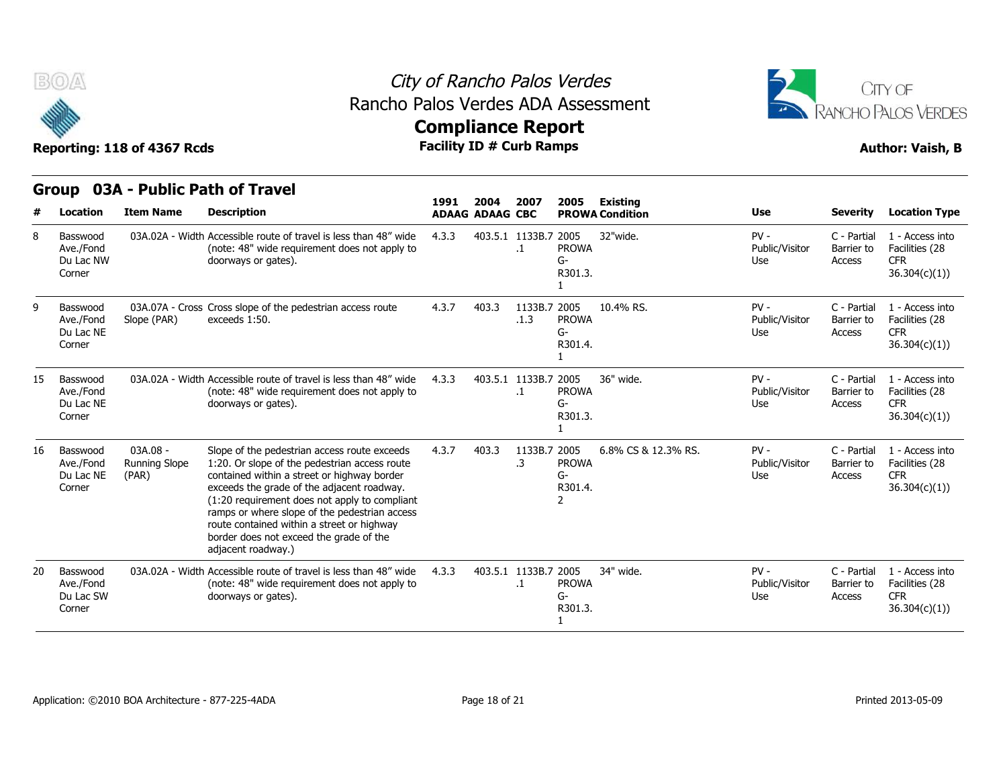

#### City of Rancho Palos Verdes Rancho Palos Verdes ADA Assessment



| B(0)<br>Reporting: 118 of 4367 Rcds |                                              |                                             |                                                                                                                                                                                                                                                                                                                                                                                                             | City of Rancho Palos Verdes<br>Rancho Palos Verdes ADA Assessment<br><b>Compliance Report</b><br><b>Facility ID # Curb Ramps</b> |                                |                                   |                                                 |                                           |                                 |                                     |                                                                 |  |  |  |
|-------------------------------------|----------------------------------------------|---------------------------------------------|-------------------------------------------------------------------------------------------------------------------------------------------------------------------------------------------------------------------------------------------------------------------------------------------------------------------------------------------------------------------------------------------------------------|----------------------------------------------------------------------------------------------------------------------------------|--------------------------------|-----------------------------------|-------------------------------------------------|-------------------------------------------|---------------------------------|-------------------------------------|-----------------------------------------------------------------|--|--|--|
| #                                   | Location                                     | <b>Item Name</b>                            | Group 03A - Public Path of Travel<br><b>Description</b>                                                                                                                                                                                                                                                                                                                                                     | 1991                                                                                                                             | 2004<br><b>ADAAG ADAAG CBC</b> | 2007                              | 2005                                            | <b>Existing</b><br><b>PROWA Condition</b> | Use                             | <b>Severity</b>                     | <b>Location Type</b>                                            |  |  |  |
| 8                                   | Basswood<br>Ave./Fond<br>Du Lac NW<br>Corner |                                             | 03A.02A - Width Accessible route of travel is less than 48" wide<br>(note: 48" wide requirement does not apply to<br>doorways or gates).                                                                                                                                                                                                                                                                    | 4.3.3                                                                                                                            |                                | 403.5.1 1133B.7 2005<br>$\cdot$ 1 | <b>PROWA</b><br>G-<br>R301.3.                   | 32"wide.                                  | $PV -$<br>Public/Visitor<br>Use | C - Partial<br>Barrier to<br>Access | 1 - Access into<br>Facilities (28<br><b>CFR</b><br>36.304(c)(1) |  |  |  |
|                                     | Basswood<br>Ave./Fond<br>Du Lac NE<br>Corner | Slope (PAR)                                 | 03A.07A - Cross Cross slope of the pedestrian access route<br>exceeds 1:50.                                                                                                                                                                                                                                                                                                                                 | 4.3.7                                                                                                                            | 403.3                          | 1133B.7 2005<br>.1.3              | <b>PROWA</b><br>G-<br>R301.4.                   | 10.4% RS.                                 | $PV -$<br>Public/Visitor<br>Use | C - Partial<br>Barrier to<br>Access | 1 - Access into<br>Facilities (28<br><b>CFR</b><br>36.304(c)(1) |  |  |  |
| 15                                  | Basswood<br>Ave./Fond<br>Du Lac NE<br>Corner |                                             | 03A.02A - Width Accessible route of travel is less than 48" wide<br>(note: 48" wide requirement does not apply to<br>doorways or gates).                                                                                                                                                                                                                                                                    | 4.3.3                                                                                                                            |                                | 403.5.1 1133B.7 2005<br>$\cdot$ 1 | <b>PROWA</b><br>$G-$<br>R301.3.                 | 36" wide.                                 | $PV -$<br>Public/Visitor<br>Use | C - Partial<br>Barrier to<br>Access | 1 - Access into<br>Facilities (28<br><b>CFR</b><br>36.304(c)(1) |  |  |  |
| 16                                  | Basswood<br>Ave./Fond<br>Du Lac NE<br>Corner | $03A.08 -$<br><b>Running Slope</b><br>(PAR) | Slope of the pedestrian access route exceeds<br>1:20. Or slope of the pedestrian access route<br>contained within a street or highway border<br>exceeds the grade of the adjacent roadway.<br>(1:20 requirement does not apply to compliant<br>ramps or where slope of the pedestrian access<br>route contained within a street or highway<br>border does not exceed the grade of the<br>adjacent roadway.) | 4.3.7                                                                                                                            | 403.3                          | 1133B.7 2005<br>.3                | <b>PROWA</b><br>G-<br>R301.4.<br>$\overline{2}$ | 6.8% CS & 12.3% RS.                       | $PV -$<br>Public/Visitor<br>Use | C - Partial<br>Barrier to<br>Access | 1 - Access into<br>Facilities (28<br><b>CFR</b><br>36.304(c)(1) |  |  |  |
| 20                                  | Basswood<br>Ave./Fond<br>Du Lac SW<br>Corner |                                             | 03A.02A - Width Accessible route of travel is less than 48" wide<br>(note: 48" wide requirement does not apply to<br>doorways or gates).                                                                                                                                                                                                                                                                    | 4.3.3                                                                                                                            |                                | 403.5.1 1133B.7 2005<br>$\cdot$ 1 | <b>PROWA</b><br>$G-$<br>R301.3.                 | 34" wide.                                 | $PV -$<br>Public/Visitor<br>Use | C - Partial<br>Barrier to<br>Access | 1 - Access into<br>Facilities (28<br><b>CFR</b><br>36.304(c)(1) |  |  |  |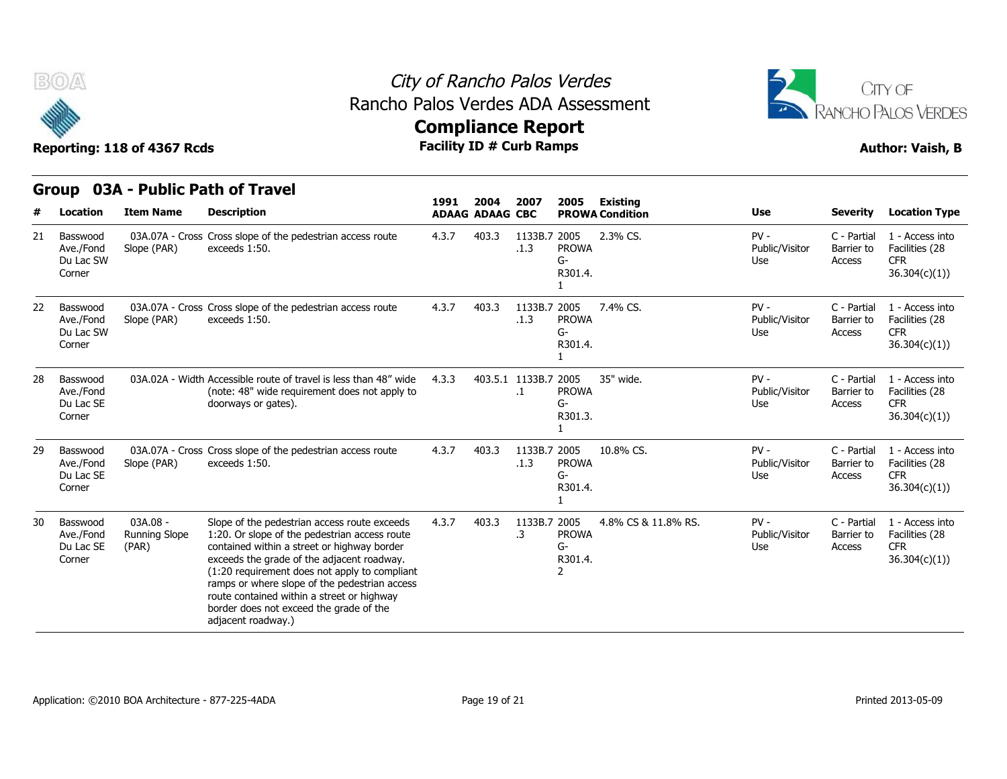



|  |  | <b>Group 03A - Public Path of Travel</b> |  |
|--|--|------------------------------------------|--|

| #  | <b>Location</b>                              | <b>Item Name</b>                   | <b>Description</b>                                                                                                                                                                                                                                                                                                                                                                                          | 1991  | 2004<br><b>ADAAG ADAAG CBC</b> | 2007                            | 2005                          | <b>Existing</b><br><b>PROWA Condition</b> | <b>Use</b>                      | <b>Severity</b>                     | <b>Location Type</b>                                             |
|----|----------------------------------------------|------------------------------------|-------------------------------------------------------------------------------------------------------------------------------------------------------------------------------------------------------------------------------------------------------------------------------------------------------------------------------------------------------------------------------------------------------------|-------|--------------------------------|---------------------------------|-------------------------------|-------------------------------------------|---------------------------------|-------------------------------------|------------------------------------------------------------------|
| 21 | Basswood<br>Ave./Fond<br>Du Lac SW<br>Corner | Slope (PAR)                        | 03A.07A - Cross Cross slope of the pedestrian access route<br>exceeds 1:50.                                                                                                                                                                                                                                                                                                                                 | 4.3.7 | 403.3                          | 1133B.7 2005<br>.1.3            | <b>PROWA</b><br>G-<br>R301.4. | 2.3% CS.                                  | $PV -$<br>Public/Visitor<br>Use | C - Partial<br>Barrier to<br>Access | 1 - Access into<br>Facilities (28<br><b>CFR</b><br>36.304(c)(1)  |
| 22 | Basswood<br>Ave./Fond<br>Du Lac SW<br>Corner | Slope (PAR)                        | 03A.07A - Cross Cross slope of the pedestrian access route<br>exceeds 1:50.                                                                                                                                                                                                                                                                                                                                 | 4.3.7 | 403.3                          | 1133B.7 2005<br>.1.3            | <b>PROWA</b><br>G-<br>R301.4. | 7.4% CS.                                  | $PV -$<br>Public/Visitor<br>Use | C - Partial<br>Barrier to<br>Access | 1 - Access into<br>Facilities (28<br><b>CFR</b><br>36.304(c)(1)  |
| 28 | Basswood<br>Ave./Fond<br>Du Lac SE<br>Corner |                                    | 03A.02A - Width Accessible route of travel is less than 48" wide<br>(note: 48" wide requirement does not apply to<br>doorways or gates).                                                                                                                                                                                                                                                                    | 4.3.3 |                                | 403.5.1 1133B.7 2005<br>$\cdot$ | <b>PROWA</b><br>G-<br>R301.3. | 35" wide.                                 | $PV -$<br>Public/Visitor<br>Use | C - Partial<br>Barrier to<br>Access | 1 - Access into<br>Facilities (28<br><b>CFR</b><br>36.304(c)(1)  |
| 29 | Basswood<br>Ave./Fond<br>Du Lac SE<br>Corner | Slope (PAR)                        | 03A.07A - Cross Cross slope of the pedestrian access route<br>exceeds 1:50.                                                                                                                                                                                                                                                                                                                                 | 4.3.7 | 403.3                          | 1133B.7 2005<br>.1.3            | <b>PROWA</b><br>G-<br>R301.4. | 10.8% CS.                                 | $PV -$<br>Public/Visitor<br>Use | C - Partial<br>Barrier to<br>Access | 1 - Access into<br>Facilities (28<br><b>CFR</b><br>36.304(c)(1)  |
| 30 | Basswood<br>Ave./Fond<br>Du Lac SE<br>Corner | 03A.08 -<br>Running Slope<br>(PAR) | Slope of the pedestrian access route exceeds<br>1:20. Or slope of the pedestrian access route<br>contained within a street or highway border<br>exceeds the grade of the adjacent roadway.<br>(1:20 requirement does not apply to compliant<br>ramps or where slope of the pedestrian access<br>route contained within a street or highway<br>border does not exceed the grade of the<br>adjacent roadway.) | 4.3.7 | 403.3                          | 1133B.7 2005<br>.3              | <b>PROWA</b><br>G-<br>R301.4. | 4.8% CS & 11.8% RS.                       | $PV -$<br>Public/Visitor<br>Use | C - Partial<br>Barrier to<br>Access | 1 - Access into<br>Facilities (28<br><b>CFR</b><br>36.304(c)(1)) |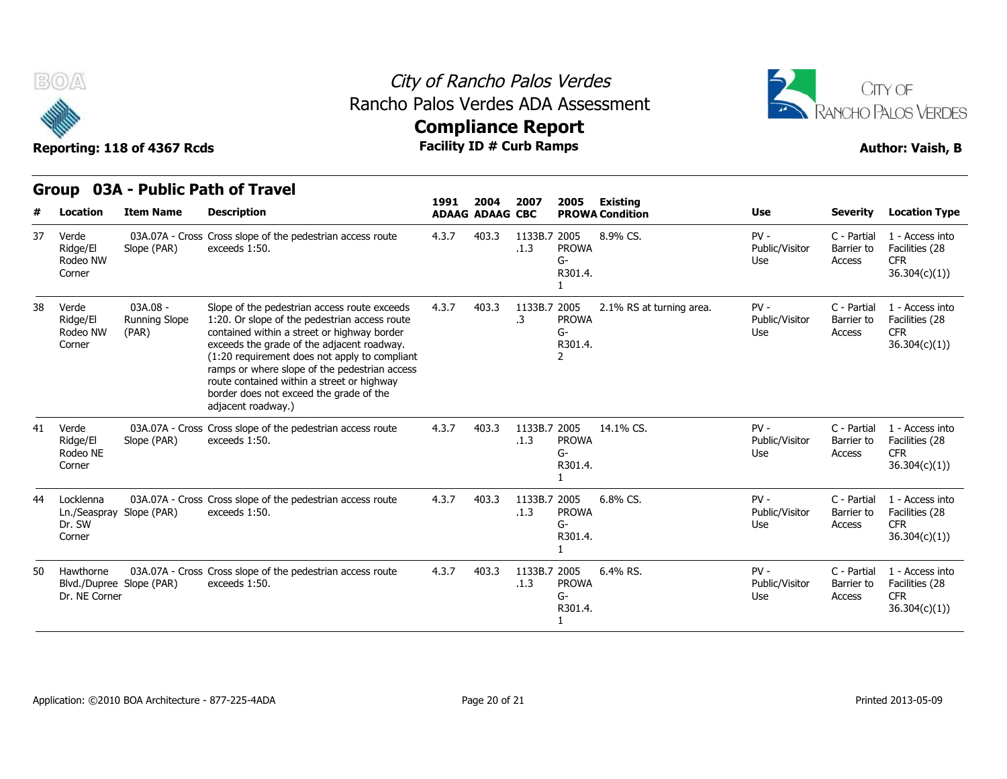



|    | <b>Group</b>                                              |                                      | 03A - Public Path of Travel                                                                                                                                                                                                                                                                                                                                                                                 |       |                                |                      |                                 |                                           |                                 |                                     |                                                                  |
|----|-----------------------------------------------------------|--------------------------------------|-------------------------------------------------------------------------------------------------------------------------------------------------------------------------------------------------------------------------------------------------------------------------------------------------------------------------------------------------------------------------------------------------------------|-------|--------------------------------|----------------------|---------------------------------|-------------------------------------------|---------------------------------|-------------------------------------|------------------------------------------------------------------|
|    | Location                                                  | <b>Item Name</b>                     | <b>Description</b>                                                                                                                                                                                                                                                                                                                                                                                          | 1991  | 2004<br><b>ADAAG ADAAG CBC</b> | 2007                 | 2005                            | <b>Existing</b><br><b>PROWA Condition</b> | <b>Use</b>                      | <b>Severity</b>                     | <b>Location Type</b>                                             |
| 37 | Verde<br>Ridge/El<br>Rodeo NW<br>Corner                   | Slope (PAR)                          | 03A.07A - Cross Cross slope of the pedestrian access route<br>exceeds 1:50.                                                                                                                                                                                                                                                                                                                                 | 4.3.7 | 403.3                          | 1133B.7 2005<br>.1.3 | <b>PROWA</b><br>$G-$<br>R301.4. | 8.9% CS.                                  | $PV -$<br>Public/Visitor<br>Use | C - Partial<br>Barrier to<br>Access | 1 - Access into<br>Facilities (28<br><b>CFR</b><br>36.304(c)(1)  |
| 38 | Verde<br>Ridge/El<br>Rodeo NW<br>Corner                   | $03A.08 -$<br>Running Slope<br>(PAR) | Slope of the pedestrian access route exceeds<br>1:20. Or slope of the pedestrian access route<br>contained within a street or highway border<br>exceeds the grade of the adjacent roadway.<br>(1:20 requirement does not apply to compliant<br>ramps or where slope of the pedestrian access<br>route contained within a street or highway<br>border does not exceed the grade of the<br>adjacent roadway.) | 4.3.7 | 403.3                          | 1133B.7 2005<br>.3   | <b>PROWA</b><br>$G-$<br>R301.4. | 2.1% RS at turning area.                  | $PV -$<br>Public/Visitor<br>Use | C - Partial<br>Barrier to<br>Access | 1 - Access into<br>Facilities (28<br><b>CFR</b><br>36.304(c)(1)) |
| 41 | Verde<br>Ridge/El<br>Rodeo NE<br>Corner                   | Slope (PAR)                          | 03A.07A - Cross Cross slope of the pedestrian access route<br>exceeds 1:50.                                                                                                                                                                                                                                                                                                                                 | 4.3.7 | 403.3                          | 1133B.7 2005<br>.1.3 | <b>PROWA</b><br>G-<br>R301.4.   | 14.1% CS.                                 | $PV -$<br>Public/Visitor<br>Use | C - Partial<br>Barrier to<br>Access | 1 - Access into<br>Facilities (28<br><b>CFR</b><br>36.304(c)(1)) |
| 44 | Locklenna<br>Ln./Seaspray Slope (PAR)<br>Dr. SW<br>Corner |                                      | 03A.07A - Cross Cross slope of the pedestrian access route<br>exceeds 1:50.                                                                                                                                                                                                                                                                                                                                 | 4.3.7 | 403.3                          | 1133B.7 2005<br>.1.3 | <b>PROWA</b><br>$G-$<br>R301.4. | 6.8% CS.                                  | $PV -$<br>Public/Visitor<br>Use | C - Partial<br>Barrier to<br>Access | 1 - Access into<br>Facilities (28<br><b>CFR</b><br>36.304(c)(1)) |
| 50 | Hawthorne<br>Blvd./Dupree Slope (PAR)<br>Dr. NE Corner    |                                      | 03A.07A - Cross Cross slope of the pedestrian access route<br>exceeds 1:50.                                                                                                                                                                                                                                                                                                                                 | 4.3.7 | 403.3                          | 1133B.7 2005<br>.1.3 | <b>PROWA</b><br>$G-$<br>R301.4. | 6.4% RS.                                  | $PV -$<br>Public/Visitor<br>Use | C - Partial<br>Barrier to<br>Access | 1 - Access into<br>Facilities (28<br><b>CFR</b><br>36.304(c)(1)  |